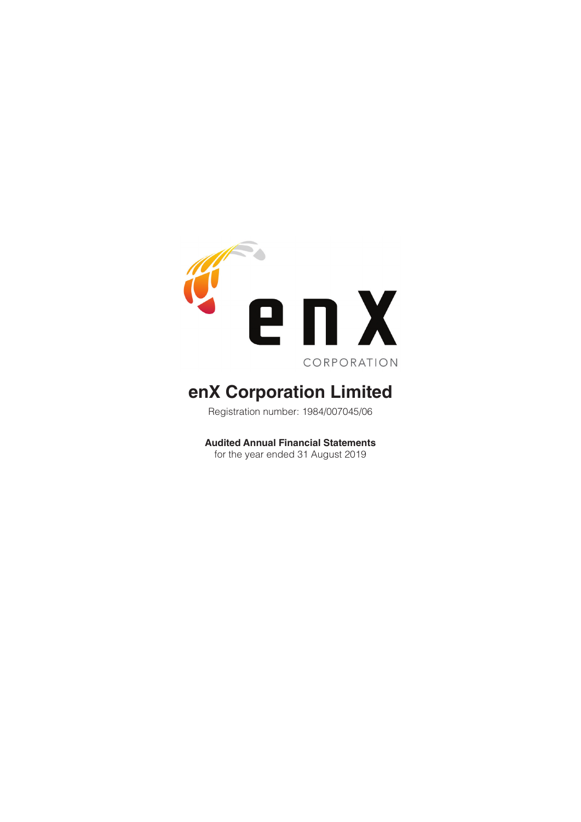

# **enX Corporation Limited**

Registration number: 1984/007045/06

**Audited Annual Financial Statements**

for the year ended 31 August 2019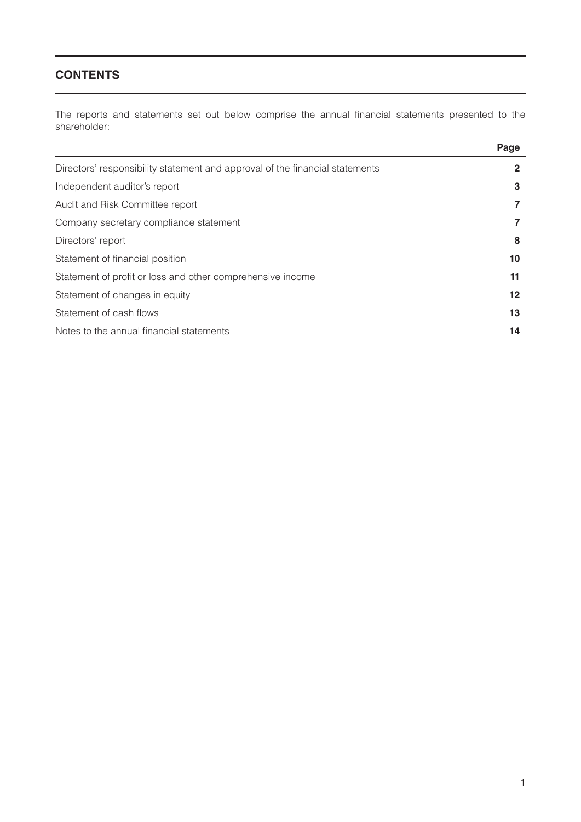## **CONTENTS**

The reports and statements set out below comprise the annual financial statements presented to the shareholder:

|                                                                              | Page |
|------------------------------------------------------------------------------|------|
| Directors' responsibility statement and approval of the financial statements | 2    |
| Independent auditor's report                                                 | 3    |
| Audit and Risk Committee report                                              |      |
| Company secretary compliance statement                                       |      |
| Directors' report                                                            | 8    |
| Statement of financial position                                              | 10   |
| Statement of profit or loss and other comprehensive income                   | 11   |
| Statement of changes in equity                                               | 12   |
| Statement of cash flows                                                      | 13   |
| Notes to the annual financial statements                                     | 14   |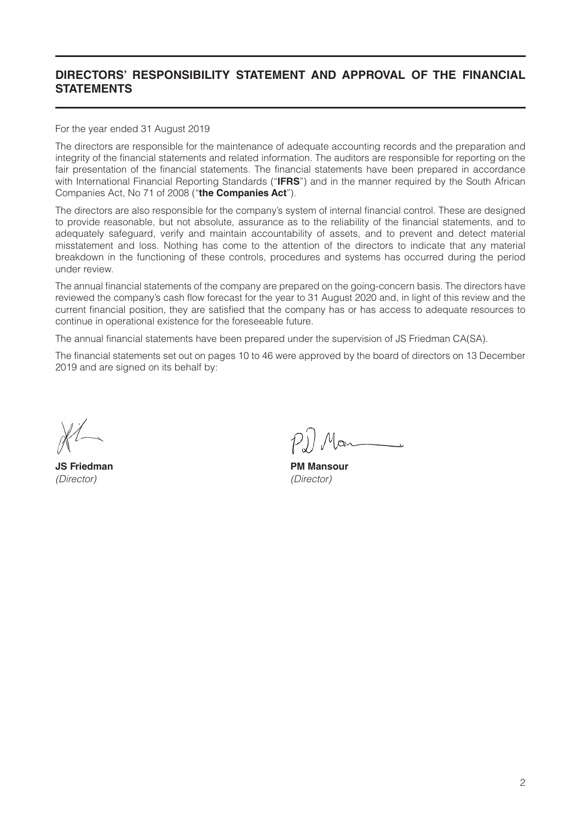### **DIRECTORS' RESPONSIBILITY STATEMENT AND APPROVAL OF THE FINANCIAL STATEMENTS**

#### For the year ended 31 August 2019

The directors are responsible for the maintenance of adequate accounting records and the preparation and integrity of the financial statements and related information. The auditors are responsible for reporting on the fair presentation of the financial statements. The financial statements have been prepared in accordance with International Financial Reporting Standards ("**IFRS**") and in the manner required by the South African Companies Act, No 71 of 2008 ("**the Companies Act**").

The directors are also responsible for the company's system of internal financial control. These are designed to provide reasonable, but not absolute, assurance as to the reliability of the financial statements, and to adequately safeguard, verify and maintain accountability of assets, and to prevent and detect material misstatement and loss. Nothing has come to the attention of the directors to indicate that any material breakdown in the functioning of these controls, procedures and systems has occurred during the period under review.

The annual financial statements of the company are prepared on the going-concern basis. The directors have reviewed the company's cash flow forecast for the year to 31 August 2020 and, in light of this review and the current financial position, they are satisfied that the company has or has access to adequate resources to continue in operational existence for the foreseeable future.

The annual financial statements have been prepared under the supervision of JS Friedman CA(SA).

The financial statements set out on pages 10 to 46 were approved by the board of directors on 13 December 2019 and are signed on its behalf by:

**JS Friedman PM Mansour** *(Director) (Director)*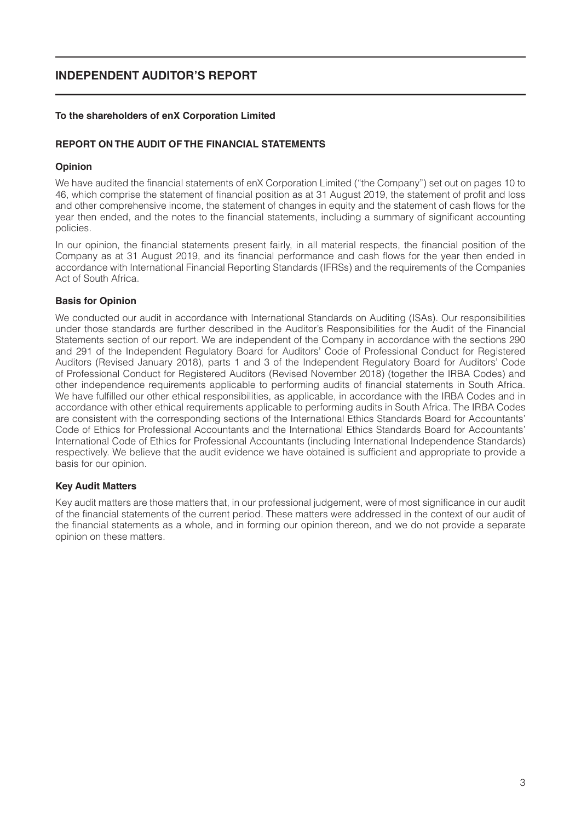### **INDEPENDENT AUDITOR'S REPORT**

#### **To the shareholders of enX Corporation Limited**

#### **REPORT ON THE AUDIT OF THE FINANCIAL STATEMENTS**

#### **Opinion**

We have audited the financial statements of enX Corporation Limited ("the Company") set out on pages 10 to 46, which comprise the statement of financial position as at 31 August 2019, the statement of profit and loss and other comprehensive income, the statement of changes in equity and the statement of cash flows for the year then ended, and the notes to the financial statements, including a summary of significant accounting policies.

In our opinion, the financial statements present fairly, in all material respects, the financial position of the Company as at 31 August 2019, and its financial performance and cash flows for the year then ended in accordance with International Financial Reporting Standards (IFRSs) and the requirements of the Companies Act of South Africa.

#### **Basis for Opinion**

We conducted our audit in accordance with International Standards on Auditing (ISAs). Our responsibilities under those standards are further described in the Auditor's Responsibilities for the Audit of the Financial Statements section of our report. We are independent of the Company in accordance with the sections 290 and 291 of the Independent Regulatory Board for Auditors' Code of Professional Conduct for Registered Auditors (Revised January 2018), parts 1 and 3 of the Independent Regulatory Board for Auditors' Code of Professional Conduct for Registered Auditors (Revised November 2018) (together the IRBA Codes) and other independence requirements applicable to performing audits of financial statements in South Africa. We have fulfilled our other ethical responsibilities, as applicable, in accordance with the IRBA Codes and in accordance with other ethical requirements applicable to performing audits in South Africa. The IRBA Codes are consistent with the corresponding sections of the International Ethics Standards Board for Accountants' Code of Ethics for Professional Accountants and the International Ethics Standards Board for Accountants' International Code of Ethics for Professional Accountants (including International Independence Standards) respectively. We believe that the audit evidence we have obtained is sufficient and appropriate to provide a basis for our opinion.

#### **Key Audit Matters**

Key audit matters are those matters that, in our professional judgement, were of most significance in our audit of the financial statements of the current period. These matters were addressed in the context of our audit of the financial statements as a whole, and in forming our opinion thereon, and we do not provide a separate opinion on these matters.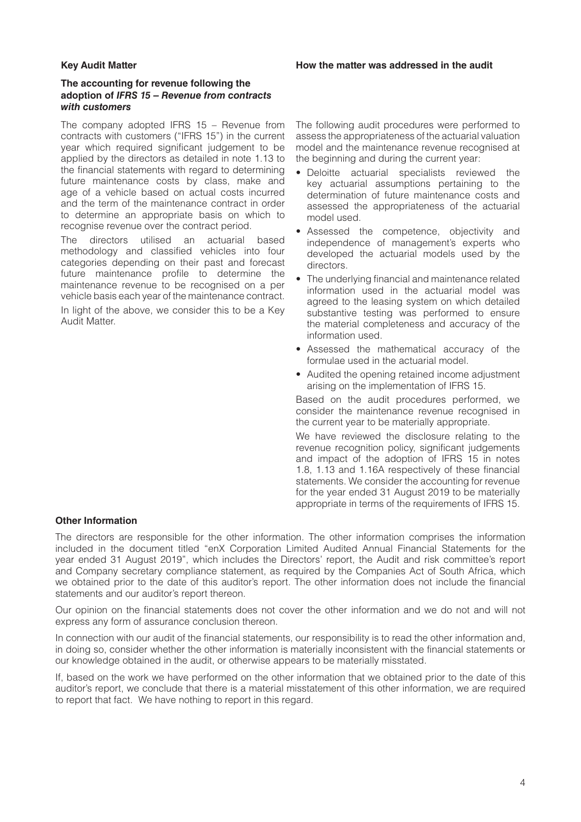#### **The accounting for revenue following the adoption of** *IFRS 15 – Revenue from contracts with customers*

The company adopted IFRS 15 – Revenue from contracts with customers ("IFRS 15") in the current year which required significant judgement to be applied by the directors as detailed in note 1.13 to the financial statements with regard to determining future maintenance costs by class, make and age of a vehicle based on actual costs incurred and the term of the maintenance contract in order to determine an appropriate basis on which to recognise revenue over the contract period.

The directors utilised an actuarial based methodology and classified vehicles into four categories depending on their past and forecast future maintenance profile to determine the maintenance revenue to be recognised on a per vehicle basis each year of the maintenance contract.

In light of the above, we consider this to be a Key Audit Matter.

The following audit procedures were performed to assess the appropriateness of the actuarial valuation model and the maintenance revenue recognised at the beginning and during the current year:

- Deloitte actuarial specialists reviewed the key actuarial assumptions pertaining to the determination of future maintenance costs and assessed the appropriateness of the actuarial model used.
- Assessed the competence, objectivity and independence of management's experts who developed the actuarial models used by the directors.
- The underlying financial and maintenance related information used in the actuarial model was agreed to the leasing system on which detailed substantive testing was performed to ensure the material completeness and accuracy of the information used.
- Assessed the mathematical accuracy of the formulae used in the actuarial model.
- Audited the opening retained income adjustment arising on the implementation of IFRS 15.

Based on the audit procedures performed, we consider the maintenance revenue recognised in the current year to be materially appropriate.

We have reviewed the disclosure relating to the revenue recognition policy, significant judgements and impact of the adoption of IFRS 15 in notes 1.8, 1.13 and 1.16A respectively of these financial statements. We consider the accounting for revenue for the year ended 31 August 2019 to be materially appropriate in terms of the requirements of IFRS 15.

#### **Other Information**

The directors are responsible for the other information. The other information comprises the information included in the document titled "enX Corporation Limited Audited Annual Financial Statements for the year ended 31 August 2019", which includes the Directors' report, the Audit and risk committee's report and Company secretary compliance statement, as required by the Companies Act of South Africa, which we obtained prior to the date of this auditor's report. The other information does not include the financial statements and our auditor's report thereon.

Our opinion on the financial statements does not cover the other information and we do not and will not express any form of assurance conclusion thereon.

In connection with our audit of the financial statements, our responsibility is to read the other information and, in doing so, consider whether the other information is materially inconsistent with the financial statements or our knowledge obtained in the audit, or otherwise appears to be materially misstated.

If, based on the work we have performed on the other information that we obtained prior to the date of this auditor's report, we conclude that there is a material misstatement of this other information, we are required to report that fact. We have nothing to report in this regard.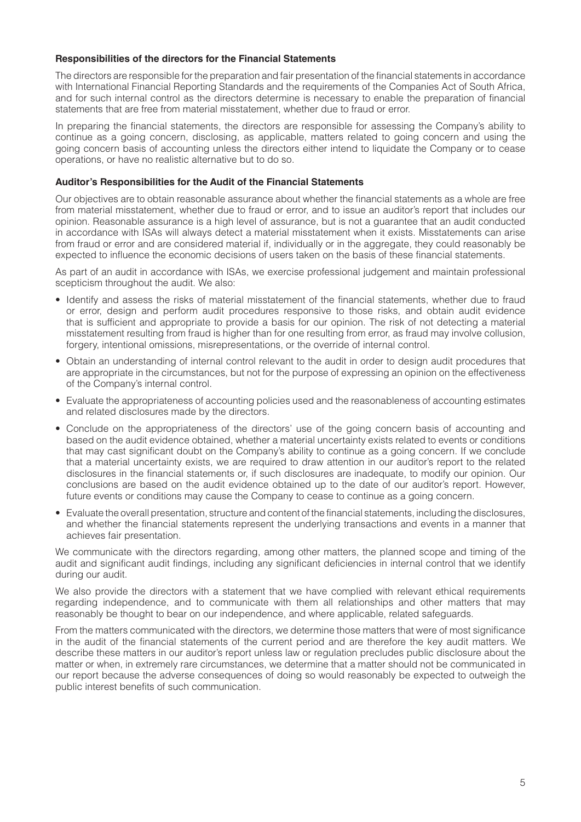#### **Responsibilities of the directors for the Financial Statements**

The directors are responsible for the preparation and fair presentation of the financial statements in accordance with International Financial Reporting Standards and the requirements of the Companies Act of South Africa, and for such internal control as the directors determine is necessary to enable the preparation of financial statements that are free from material misstatement, whether due to fraud or error.

In preparing the financial statements, the directors are responsible for assessing the Company's ability to continue as a going concern, disclosing, as applicable, matters related to going concern and using the going concern basis of accounting unless the directors either intend to liquidate the Company or to cease operations, or have no realistic alternative but to do so.

#### **Auditor's Responsibilities for the Audit of the Financial Statements**

Our objectives are to obtain reasonable assurance about whether the financial statements as a whole are free from material misstatement, whether due to fraud or error, and to issue an auditor's report that includes our opinion. Reasonable assurance is a high level of assurance, but is not a guarantee that an audit conducted in accordance with ISAs will always detect a material misstatement when it exists. Misstatements can arise from fraud or error and are considered material if, individually or in the aggregate, they could reasonably be expected to influence the economic decisions of users taken on the basis of these financial statements.

As part of an audit in accordance with ISAs, we exercise professional judgement and maintain professional scepticism throughout the audit. We also:

- Identify and assess the risks of material misstatement of the financial statements, whether due to fraud or error, design and perform audit procedures responsive to those risks, and obtain audit evidence that is sufficient and appropriate to provide a basis for our opinion. The risk of not detecting a material misstatement resulting from fraud is higher than for one resulting from error, as fraud may involve collusion, forgery, intentional omissions, misrepresentations, or the override of internal control.
- Obtain an understanding of internal control relevant to the audit in order to design audit procedures that are appropriate in the circumstances, but not for the purpose of expressing an opinion on the effectiveness of the Company's internal control.
- Evaluate the appropriateness of accounting policies used and the reasonableness of accounting estimates and related disclosures made by the directors.
- Conclude on the appropriateness of the directors' use of the going concern basis of accounting and based on the audit evidence obtained, whether a material uncertainty exists related to events or conditions that may cast significant doubt on the Company's ability to continue as a going concern. If we conclude that a material uncertainty exists, we are required to draw attention in our auditor's report to the related disclosures in the financial statements or, if such disclosures are inadequate, to modify our opinion. Our conclusions are based on the audit evidence obtained up to the date of our auditor's report. However, future events or conditions may cause the Company to cease to continue as a going concern.
- Evaluate the overall presentation, structure and content of the financial statements, including the disclosures, and whether the financial statements represent the underlying transactions and events in a manner that achieves fair presentation.

We communicate with the directors regarding, among other matters, the planned scope and timing of the audit and significant audit findings, including any significant deficiencies in internal control that we identify during our audit.

We also provide the directors with a statement that we have complied with relevant ethical requirements regarding independence, and to communicate with them all relationships and other matters that may reasonably be thought to bear on our independence, and where applicable, related safeguards.

From the matters communicated with the directors, we determine those matters that were of most significance in the audit of the financial statements of the current period and are therefore the key audit matters. We describe these matters in our auditor's report unless law or regulation precludes public disclosure about the matter or when, in extremely rare circumstances, we determine that a matter should not be communicated in our report because the adverse consequences of doing so would reasonably be expected to outweigh the public interest benefits of such communication.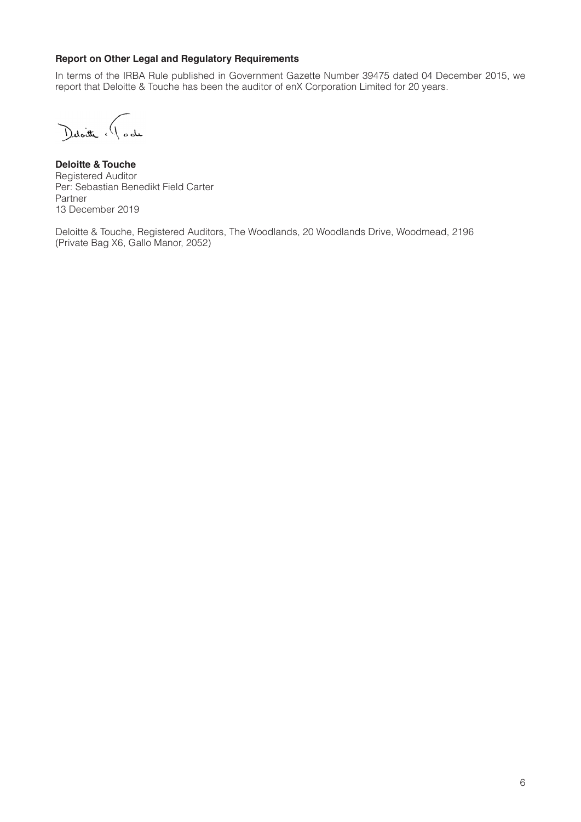### **Report on Other Legal and Regulatory Requirements**

In terms of the IRBA Rule published in Government Gazette Number 39475 dated 04 December 2015, we report that Deloitte & Touche has been the auditor of enX Corporation Limited for 20 years.

Deloite (ade

**Deloitte & Touche**  Registered Auditor Per: Sebastian Benedikt Field Carter Partner 13 December 2019

Deloitte & Touche, Registered Auditors, The Woodlands, 20 Woodlands Drive, Woodmead, 2196 (Private Bag X6, Gallo Manor, 2052)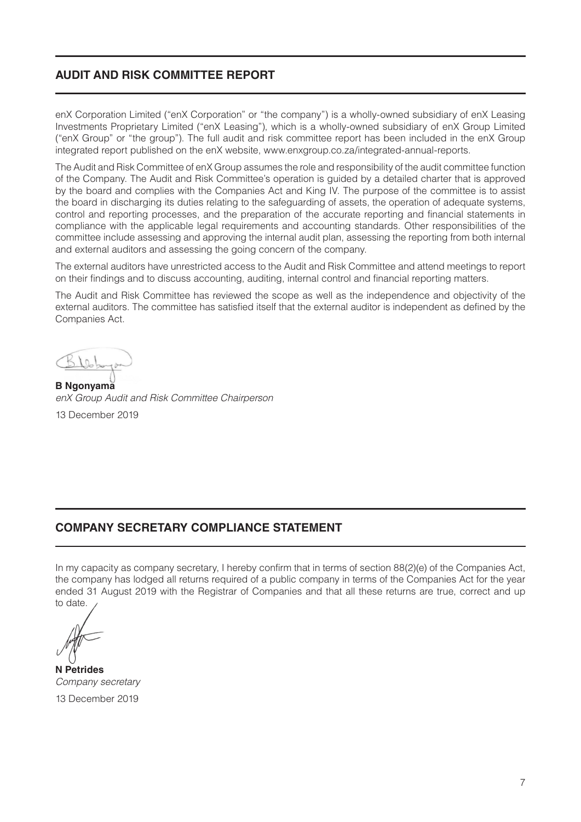### **AUDIT AND RISK COMMITTEE REPORT**

enX Corporation Limited ("enX Corporation" or "the company") is a wholly-owned subsidiary of enX Leasing Investments Proprietary Limited ("enX Leasing"), which is a wholly-owned subsidiary of enX Group Limited ("enX Group" or "the group"). The full audit and risk committee report has been included in the enX Group integrated report published on the enX website, www.enxgroup.co.za/integrated-annual-reports.

The Audit and Risk Committee of enX Group assumes the role and responsibility of the audit committee function of the Company. The Audit and Risk Committee's operation is guided by a detailed charter that is approved by the board and complies with the Companies Act and King IV. The purpose of the committee is to assist the board in discharging its duties relating to the safeguarding of assets, the operation of adequate systems, control and reporting processes, and the preparation of the accurate reporting and financial statements in compliance with the applicable legal requirements and accounting standards. Other responsibilities of the committee include assessing and approving the internal audit plan, assessing the reporting from both internal and external auditors and assessing the going concern of the company.

The external auditors have unrestricted access to the Audit and Risk Committee and attend meetings to report on their findings and to discuss accounting, auditing, internal control and financial reporting matters.

The Audit and Risk Committee has reviewed the scope as well as the independence and objectivity of the external auditors. The committee has satisfied itself that the external auditor is independent as defined by the Companies Act.

**B Ngonyama** *enX Group Audit and Risk Committee Chairperson* 13 December 2019

### **COMPANY SECRETARY COMPLIANCE STATEMENT**

In my capacity as company secretary, I hereby confirm that in terms of section 88(2)(e) of the Companies Act, the company has lodged all returns required of a public company in terms of the Companies Act for the year ended 31 August 2019 with the Registrar of Companies and that all these returns are true, correct and up to date.

**N Petrides** *Company secretary* 13 December 2019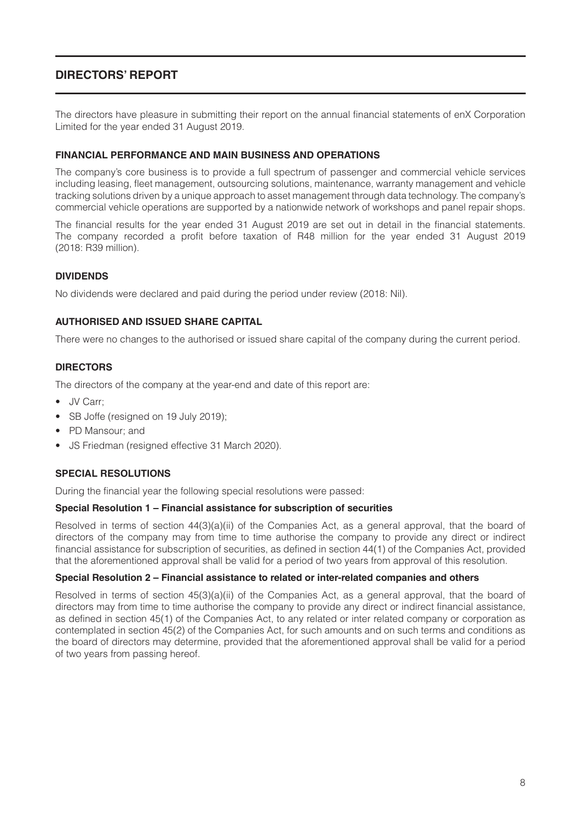### **DIRECTORS' REPORT**

The directors have pleasure in submitting their report on the annual financial statements of enX Corporation Limited for the year ended 31 August 2019.

#### **FINANCIAL PERFORMANCE AND MAIN BUSINESS AND OPERATIONS**

The company's core business is to provide a full spectrum of passenger and commercial vehicle services including leasing, fleet management, outsourcing solutions, maintenance, warranty management and vehicle tracking solutions driven by a unique approach to asset management through data technology. The company's commercial vehicle operations are supported by a nationwide network of workshops and panel repair shops.

The financial results for the year ended 31 August 2019 are set out in detail in the financial statements. The company recorded a profit before taxation of R48 million for the year ended 31 August 2019 (2018: R39 million).

#### **DIVIDENDS**

No dividends were declared and paid during the period under review (2018: Nil).

#### **AUTHORISED AND ISSUED SHARE CAPITAL**

There were no changes to the authorised or issued share capital of the company during the current period.

#### **DIRECTORS**

The directors of the company at the year-end and date of this report are:

- JV Carr;
- SB Joffe (resigned on 19 July 2019);
- PD Mansour: and
- JS Friedman (resigned effective 31 March 2020).

#### **SPECIAL RESOLUTIONS**

During the financial year the following special resolutions were passed:

#### **Special Resolution 1 – Financial assistance for subscription of securities**

Resolved in terms of section 44(3)(a)(ii) of the Companies Act, as a general approval, that the board of directors of the company may from time to time authorise the company to provide any direct or indirect financial assistance for subscription of securities, as defined in section 44(1) of the Companies Act, provided that the aforementioned approval shall be valid for a period of two years from approval of this resolution.

#### **Special Resolution 2 – Financial assistance to related or inter-related companies and others**

Resolved in terms of section 45(3)(a)(ii) of the Companies Act, as a general approval, that the board of directors may from time to time authorise the company to provide any direct or indirect financial assistance, as defined in section 45(1) of the Companies Act, to any related or inter related company or corporation as contemplated in section 45(2) of the Companies Act, for such amounts and on such terms and conditions as the board of directors may determine, provided that the aforementioned approval shall be valid for a period of two years from passing hereof.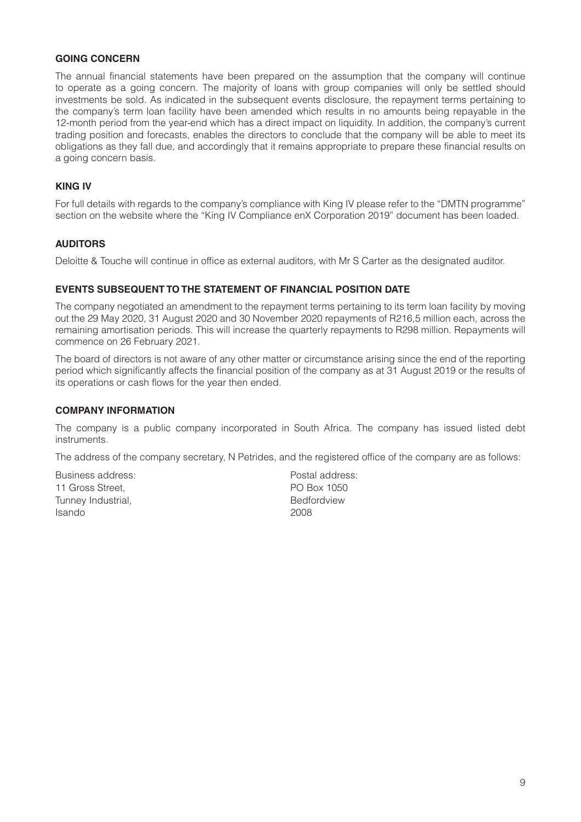#### **GOING CONCERN**

The annual financial statements have been prepared on the assumption that the company will continue to operate as a going concern. The majority of loans with group companies will only be settled should investments be sold. As indicated in the subsequent events disclosure, the repayment terms pertaining to the company's term loan facility have been amended which results in no amounts being repayable in the 12-month period from the year-end which has a direct impact on liquidity. In addition, the company's current trading position and forecasts, enables the directors to conclude that the company will be able to meet its obligations as they fall due, and accordingly that it remains appropriate to prepare these financial results on a going concern basis.

#### **KING IV**

For full details with regards to the company's compliance with King IV please refer to the "DMTN programme" section on the website where the "King IV Compliance enX Corporation 2019" document has been loaded.

#### **AUDITORS**

Deloitte & Touche will continue in office as external auditors, with Mr S Carter as the designated auditor.

#### **EVENTS SUBSEQUENT TO THE STATEMENT OF FINANCIAL POSITION DATE**

The company negotiated an amendment to the repayment terms pertaining to its term loan facility by moving out the 29 May 2020, 31 August 2020 and 30 November 2020 repayments of R216,5 million each, across the remaining amortisation periods. This will increase the quarterly repayments to R298 million. Repayments will commence on 26 February 2021.

The board of directors is not aware of any other matter or circumstance arising since the end of the reporting period which significantly affects the financial position of the company as at 31 August 2019 or the results of its operations or cash flows for the year then ended.

#### **COMPANY INFORMATION**

The company is a public company incorporated in South Africa. The company has issued listed debt instruments.

The address of the company secretary, N Petrides, and the registered office of the company are as follows:

11 Gross Street, PO Box 1050 Tunney Industrial, Tunney Industrial, Isando 2008

Business address: Postal address: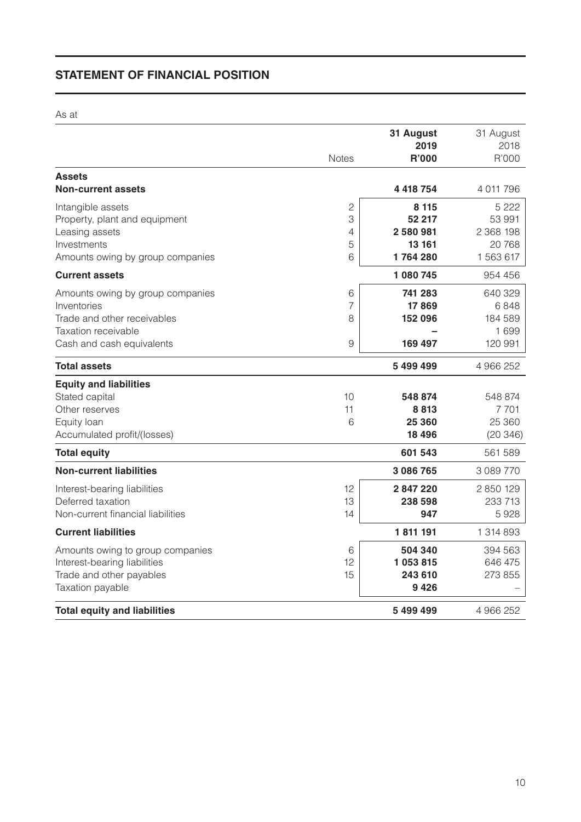## **STATEMENT OF FINANCIAL POSITION**

As at

|                                     |                | 31 August<br>2019 | 31 August<br>2018 |
|-------------------------------------|----------------|-------------------|-------------------|
|                                     | <b>Notes</b>   | R'000             | R'000             |
| <b>Assets</b>                       |                |                   |                   |
| <b>Non-current assets</b>           |                | 4 4 18 7 54       | 4 0 11 7 9 6      |
| Intangible assets                   | $\mathbf{2}$   | 8 1 1 5           | 5 2 2 2           |
| Property, plant and equipment       | 3              | 52 217            | 53 991            |
| Leasing assets                      | 4              | 2 580 981         | 2 368 198         |
| Investments                         | 5              | 13 161            | 20768             |
| Amounts owing by group companies    | 6              | 1764280           | 1563617           |
| <b>Current assets</b>               |                | 1 080 745         | 954 456           |
| Amounts owing by group companies    | 6              | 741 283           | 640 329           |
| Inventories                         | $\overline{7}$ | 17869             | 6848              |
| Trade and other receivables         | 8              | 152 096           | 184 589           |
| Taxation receivable                 |                |                   | 1699              |
| Cash and cash equivalents           | $\overline{9}$ | 169 497           | 120 991           |
| <b>Total assets</b>                 |                | 5 499 499         | 4 966 252         |
| <b>Equity and liabilities</b>       |                |                   |                   |
| Stated capital                      | 10             | 548 874           | 548 874           |
| Other reserves                      | 11             | 8813              | 7701              |
| Equity loan                         | 6              | 25 360            | 25 360            |
| Accumulated profit/(losses)         |                | 18 4 96           | (20346)           |
| <b>Total equity</b>                 |                | 601 543           | 561 589           |
| <b>Non-current liabilities</b>      |                | 3 086 765         | 3 0 8 9 7 7 0     |
| Interest-bearing liabilities        | 12             | 2847220           | 2850129           |
| Deferred taxation                   | 13             | 238 598           | 233 713           |
| Non-current financial liabilities   | 14             | 947               | 5928              |
| <b>Current liabilities</b>          |                | 1 811 191         | 1 314 893         |
| Amounts owing to group companies    | 6              | 504 340           | 394 563           |
| Interest-bearing liabilities        | 12             | 1 053 815         | 646 475           |
| Trade and other payables            | 15             | 243 610           | 273 855           |
| Taxation payable                    |                | 9426              |                   |
| <b>Total equity and liabilities</b> |                | 5499499           | 4 966 252         |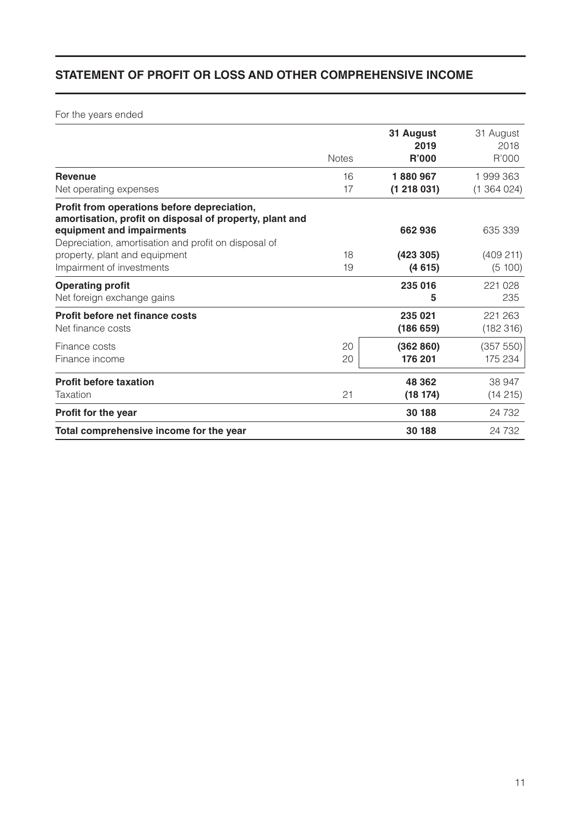### **STATEMENT OF PROFIT OR LOSS AND OTHER COMPREHENSIVE INCOME**

### For the years ended

|                                                                                                        |              | 31 August            | 31 August     |
|--------------------------------------------------------------------------------------------------------|--------------|----------------------|---------------|
|                                                                                                        | <b>Notes</b> | 2019<br><b>R'000</b> | 2018<br>R'000 |
| <b>Revenue</b>                                                                                         | 16           | 1880967              | 1999363       |
| Net operating expenses                                                                                 | 17           | (1 218 031)          | (1364024)     |
| Profit from operations before depreciation,<br>amortisation, profit on disposal of property, plant and |              |                      |               |
| equipment and impairments<br>Depreciation, amortisation and profit on disposal of                      |              | 662936               | 635 339       |
| property, plant and equipment                                                                          | 18           | (423 305)            | (409 211)     |
| Impairment of investments                                                                              | 19           | (4615)               | (5 100)       |
| <b>Operating profit</b>                                                                                |              | 235 016              | 221 028       |
| Net foreign exchange gains                                                                             |              | 5                    | 235           |
| <b>Profit before net finance costs</b>                                                                 |              | 235 021              | 221 263       |
| Net finance costs                                                                                      |              | (186 659)            | (182316)      |
| Finance costs                                                                                          | 20           | (362 860)            | (357 550)     |
| Finance income                                                                                         | 20           | 176 201              | 175 234       |
| <b>Profit before taxation</b>                                                                          |              | 48 362               | 38 947        |
| Taxation                                                                                               | 21           | (18 174)             | (14215)       |
| <b>Profit for the year</b>                                                                             |              | 30 188               | 24 7 32       |
| Total comprehensive income for the year                                                                |              | 30 188               | 24 7 32       |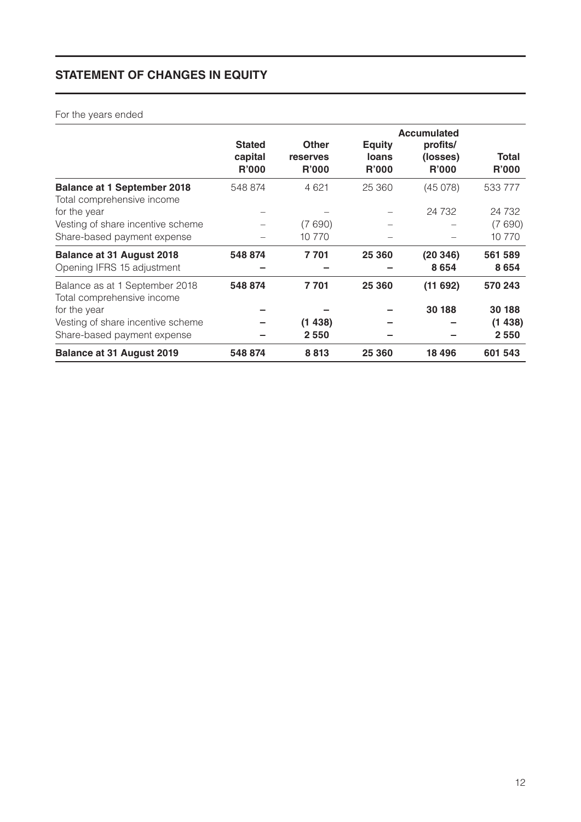## **STATEMENT OF CHANGES IN EQUITY**

### For the years ended

|                                                                  |                                          |                                                 |                                               | <b>Accumulated</b>            |                |
|------------------------------------------------------------------|------------------------------------------|-------------------------------------------------|-----------------------------------------------|-------------------------------|----------------|
|                                                                  | <b>Stated</b><br>capital<br><b>R'000</b> | <b>Other</b><br><b>reserves</b><br><b>R'000</b> | <b>Equity</b><br><b>loans</b><br><b>R'000</b> | profits/<br>(losses)<br>R'000 | Total<br>R'000 |
| <b>Balance at 1 September 2018</b><br>Total comprehensive income | 548 874                                  | 4621                                            | 25 360                                        | (45078)                       | 533 777        |
| for the year                                                     |                                          |                                                 |                                               | 24 7 32                       | 24 7 32        |
| Vesting of share incentive scheme                                |                                          | (7690)                                          |                                               |                               | (7690)         |
| Share-based payment expense                                      |                                          | 10770                                           |                                               |                               | 10 770         |
| <b>Balance at 31 August 2018</b>                                 | 548 874                                  | 7 701                                           | 25 3 60                                       | (20346)                       | 561 589        |
| Opening IFRS 15 adjustment                                       |                                          |                                                 |                                               | 8654                          | 8654           |
| Balance as at 1 September 2018<br>Total comprehensive income     | 548 874                                  | 7 701                                           | 25 360                                        | (11692)                       | 570 243        |
| for the year                                                     |                                          |                                                 |                                               | 30 188                        | 30 188         |
| Vesting of share incentive scheme                                |                                          | (1438)                                          |                                               |                               | (1438)         |
| Share-based payment expense                                      |                                          | 2550                                            |                                               |                               | 2550           |
| <b>Balance at 31 August 2019</b>                                 | 548 874                                  | 8813                                            | 25 3 60                                       | 18 4 96                       | 601 543        |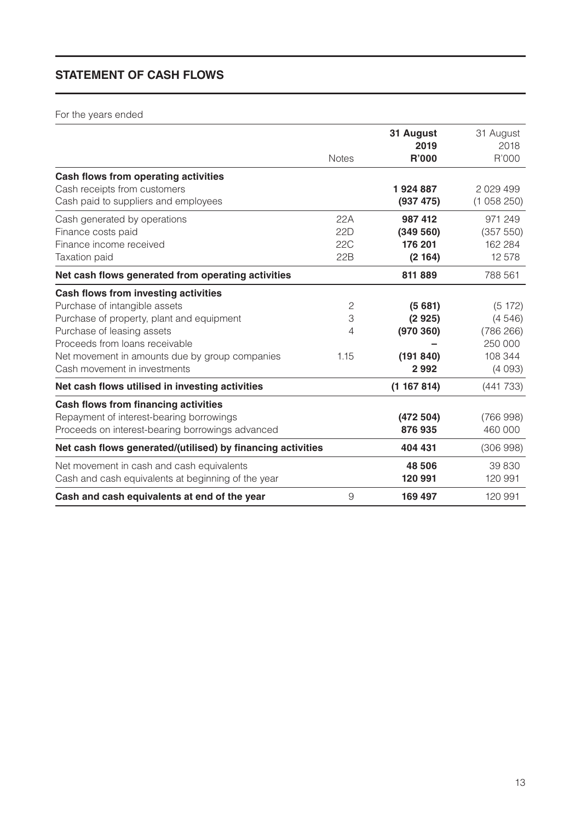## **STATEMENT OF CASH FLOWS**

For the years ended

|                                                             |                | 31 August<br>2019 | 31 August<br>2018 |
|-------------------------------------------------------------|----------------|-------------------|-------------------|
|                                                             | <b>Notes</b>   | R'000             | R'000             |
| Cash flows from operating activities                        |                |                   |                   |
| Cash receipts from customers                                |                | 1924887           | 2029499           |
| Cash paid to suppliers and employees                        |                | (937 475)         | (1058250)         |
| Cash generated by operations                                | 22A            | 987 412           | 971 249           |
| Finance costs paid                                          | 22D            | (349560)          | (357 550)         |
| Finance income received                                     | 22C            | 176 201           | 162 284           |
| <b>Taxation paid</b>                                        | 22B            | (2164)            | 12 578            |
| Net cash flows generated from operating activities          |                | 811 889           | 788 561           |
| Cash flows from investing activities                        |                |                   |                   |
| Purchase of intangible assets                               | $\mathbf{2}$   | (5681)            | (5172)            |
| Purchase of property, plant and equipment                   | 3              | (2925)            | (4546)            |
| Purchase of leasing assets                                  | 4              | (970360)          | (786 266)         |
| Proceeds from loans receivable                              |                |                   | 250 000           |
| Net movement in amounts due by group companies              | 1.15           | (191840)          | 108 344           |
| Cash movement in investments                                |                | 2992              | (4093)            |
| Net cash flows utilised in investing activities             |                | (1167814)         | (441 733)         |
| <b>Cash flows from financing activities</b>                 |                |                   |                   |
| Repayment of interest-bearing borrowings                    |                | (472504)          | (766998)          |
| Proceeds on interest-bearing borrowings advanced            |                | 876935            | 460 000           |
| Net cash flows generated/(utilised) by financing activities |                | 404 431           | (306998)          |
| Net movement in cash and cash equivalents                   |                | 48 506            | 39 830            |
| Cash and cash equivalents at beginning of the year          |                | 120 991           | 120 991           |
| Cash and cash equivalents at end of the year                | $\overline{9}$ | 169 497           | 120 991           |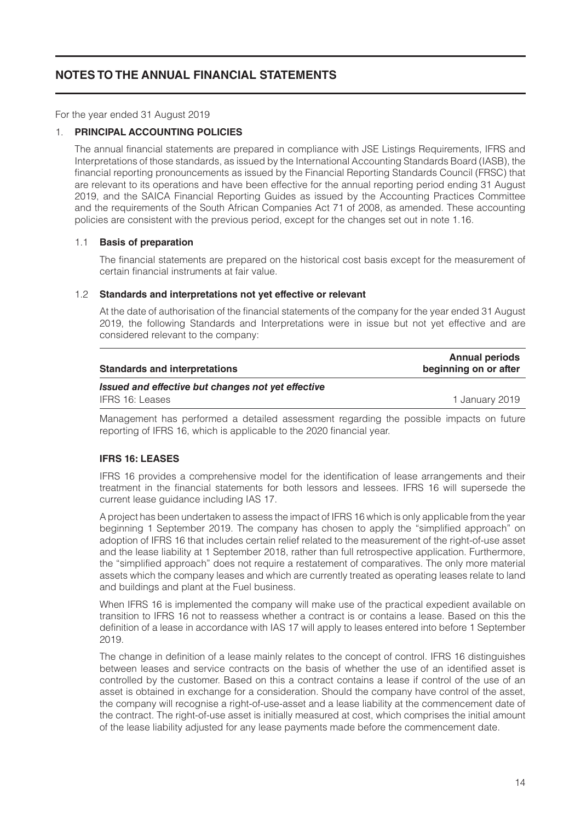### **NOTES TO THE ANNUAL FINANCIAL STATEMENTS**

For the year ended 31 August 2019

#### 1. **PRINCIPAL ACCOUNTING POLICIES**

The annual financial statements are prepared in compliance with JSE Listings Requirements, IFRS and Interpretations of those standards, as issued by the International Accounting Standards Board (IASB), the financial reporting pronouncements as issued by the Financial Reporting Standards Council (FRSC) that are relevant to its operations and have been effective for the annual reporting period ending 31 August 2019, and the SAICA Financial Reporting Guides as issued by the Accounting Practices Committee and the requirements of the South African Companies Act 71 of 2008, as amended. These accounting policies are consistent with the previous period, except for the changes set out in note 1.16.

#### 1.1 **Basis of preparation**

The financial statements are prepared on the historical cost basis except for the measurement of certain financial instruments at fair value.

#### 1.2 **Standards and interpretations not yet effective or relevant**

At the date of authorisation of the financial statements of the company for the year ended 31 August 2019, the following Standards and Interpretations were in issue but not yet effective and are considered relevant to the company:

| <b>Standards and interpretations</b>               | <b>Annual periods</b><br>beginning on or after |
|----------------------------------------------------|------------------------------------------------|
| Issued and effective but changes not yet effective |                                                |
| IFRS 16: Leases                                    | 1 January 2019                                 |

Management has performed a detailed assessment regarding the possible impacts on future reporting of IFRS 16, which is applicable to the 2020 financial year.

#### **IFRS 16: LEASES**

IFRS 16 provides a comprehensive model for the identification of lease arrangements and their treatment in the financial statements for both lessors and lessees. IFRS 16 will supersede the current lease guidance including IAS 17.

A project has been undertaken to assess the impact of IFRS 16 which is only applicable from the year beginning 1 September 2019. The company has chosen to apply the "simplified approach" on adoption of IFRS 16 that includes certain relief related to the measurement of the right-of-use asset and the lease liability at 1 September 2018, rather than full retrospective application. Furthermore, the "simplified approach" does not require a restatement of comparatives. The only more material assets which the company leases and which are currently treated as operating leases relate to land and buildings and plant at the Fuel business.

When IFRS 16 is implemented the company will make use of the practical expedient available on transition to IFRS 16 not to reassess whether a contract is or contains a lease. Based on this the definition of a lease in accordance with IAS 17 will apply to leases entered into before 1 September 2019.

The change in definition of a lease mainly relates to the concept of control. IFRS 16 distinguishes between leases and service contracts on the basis of whether the use of an identified asset is controlled by the customer. Based on this a contract contains a lease if control of the use of an asset is obtained in exchange for a consideration. Should the company have control of the asset, the company will recognise a right-of-use-asset and a lease liability at the commencement date of the contract. The right-of-use asset is initially measured at cost, which comprises the initial amount of the lease liability adjusted for any lease payments made before the commencement date.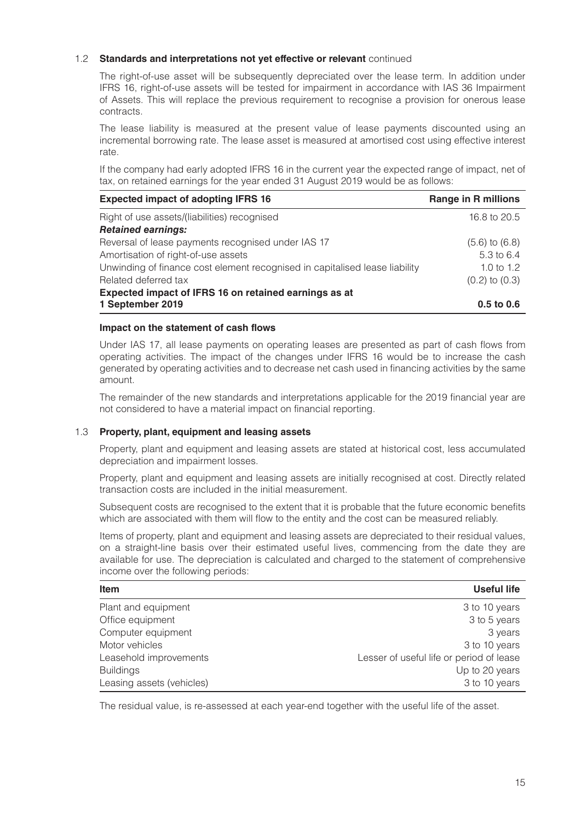#### 1.2 **Standards and interpretations not yet effective or relevant** continued

The right-of-use asset will be subsequently depreciated over the lease term. In addition under IFRS 16, right-of-use assets will be tested for impairment in accordance with IAS 36 Impairment of Assets. This will replace the previous requirement to recognise a provision for onerous lease contracts.

The lease liability is measured at the present value of lease payments discounted using an incremental borrowing rate. The lease asset is measured at amortised cost using effective interest rate.

If the company had early adopted IFRS 16 in the current year the expected range of impact, net of tax, on retained earnings for the year ended 31 August 2019 would be as follows:

| <b>Expected impact of adopting IFRS 16</b>                                  | <b>Range in R millions</b> |
|-----------------------------------------------------------------------------|----------------------------|
| Right of use assets/(liabilities) recognised                                | 16.8 to 20.5               |
| <b>Retained earnings:</b>                                                   |                            |
| Reversal of lease payments recognised under IAS 17                          | $(5.6)$ to $(6.8)$         |
| Amortisation of right-of-use assets                                         | 5.3 to 6.4                 |
| Unwinding of finance cost element recognised in capitalised lease liability | 1.0 to 1.2                 |
| Related deferred tax                                                        | $(0.2)$ to $(0.3)$         |
| Expected impact of IFRS 16 on retained earnings as at                       |                            |
| 1 September 2019                                                            | $0.5$ to $0.6$             |

#### **Impact on the statement of cash flows**

Under IAS 17, all lease payments on operating leases are presented as part of cash flows from operating activities. The impact of the changes under IFRS 16 would be to increase the cash generated by operating activities and to decrease net cash used in financing activities by the same amount.

The remainder of the new standards and interpretations applicable for the 2019 financial year are not considered to have a material impact on financial reporting.

#### 1.3 **Property, plant, equipment and leasing assets**

Property, plant and equipment and leasing assets are stated at historical cost, less accumulated depreciation and impairment losses.

Property, plant and equipment and leasing assets are initially recognised at cost. Directly related transaction costs are included in the initial measurement.

Subsequent costs are recognised to the extent that it is probable that the future economic benefits which are associated with them will flow to the entity and the cost can be measured reliably.

Items of property, plant and equipment and leasing assets are depreciated to their residual values, on a straight-line basis over their estimated useful lives, commencing from the date they are available for use. The depreciation is calculated and charged to the statement of comprehensive income over the following periods:

| <b>Item</b>               | Useful life                              |
|---------------------------|------------------------------------------|
| Plant and equipment       | 3 to 10 years                            |
| Office equipment          | 3 to 5 years                             |
| Computer equipment        | 3 years                                  |
| Motor vehicles            | 3 to 10 years                            |
| Leasehold improvements    | Lesser of useful life or period of lease |
| <b>Buildings</b>          | Up to 20 years                           |
| Leasing assets (vehicles) | 3 to 10 years                            |

The residual value, is re-assessed at each year-end together with the useful life of the asset.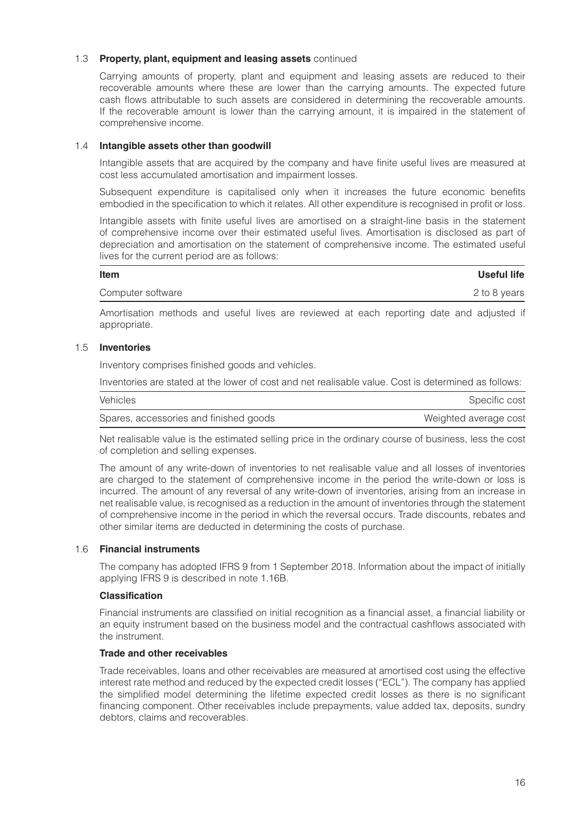#### 1.3 **Property, plant, equipment and leasing assets** continued

Carrying amounts of property, plant and equipment and leasing assets are reduced to their recoverable amounts where these are lower than the carrying amounts. The expected future cash flows attributable to such assets are considered in determining the recoverable amounts. If the recoverable amount is lower than the carrying amount, it is impaired in the statement of comprehensive income.

#### 1.4 **Intangible assets other than goodwill**

Intangible assets that are acquired by the company and have finite useful lives are measured at cost less accumulated amortisation and impairment losses.

Subsequent expenditure is capitalised only when it increases the future economic benefits embodied in the specification to which it relates. All other expenditure is recognised in profit or loss.

Intangible assets with finite useful lives are amortised on a straight-line basis in the statement of comprehensive income over their estimated useful lives. Amortisation is disclosed as part of depreciation and amortisation on the statement of comprehensive income. The estimated useful lives for the current period are as follows:

**Item Useful life**

#### Computer software 2 to 8 years 2 to 8 years 2 to 8 years 2 to 8 years 2 to 8 years 2 to 8 years 2 to 8 years 2 to 8 years 2 to 8 years 2 to 8 years 2 to 8 years 2 to 8 years 2 to 8 years 2 to 8 years 2 to 8 years 2 to 8 ye

Amortisation methods and useful lives are reviewed at each reporting date and adjusted if appropriate.

#### 1.5 **Inventories**

Inventory comprises finished goods and vehicles.

Inventories are stated at the lower of cost and net realisable value. Cost is determined as follows:

| Vehicles                               | Specific cost         |
|----------------------------------------|-----------------------|
| Spares, accessories and finished goods | Weighted average cost |

Net realisable value is the estimated selling price in the ordinary course of business, less the cost of completion and selling expenses.

The amount of any write-down of inventories to net realisable value and all losses of inventories are charged to the statement of comprehensive income in the period the write-down or loss is incurred. The amount of any reversal of any write-down of inventories, arising from an increase in net realisable value, is recognised as a reduction in the amount of inventories through the statement of comprehensive income in the period in which the reversal occurs. Trade discounts, rebates and other similar items are deducted in determining the costs of purchase.

#### 1.6 **Financial instruments**

The company has adopted IFRS 9 from 1 September 2018. Information about the impact of initially applying IFRS 9 is described in note 1.16B.

#### **Classification**

Financial instruments are classified on initial recognition as a financial asset, a financial liability or an equity instrument based on the business model and the contractual cashflows associated with the instrument.

#### **Trade and other receivables**

Trade receivables, loans and other receivables are measured at amortised cost using the effective interest rate method and reduced by the expected credit losses ("ECL"). The company has applied the simplified model determining the lifetime expected credit losses as there is no significant financing component. Other receivables include prepayments, value added tax, deposits, sundry debtors, claims and recoverables.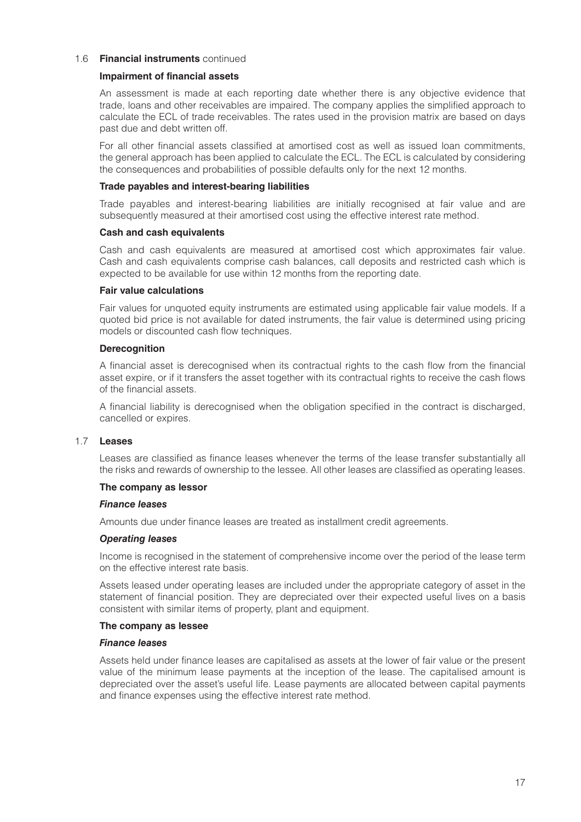#### 1.6 **Financial instruments** continued

#### **Impairment of financial assets**

An assessment is made at each reporting date whether there is any objective evidence that trade, loans and other receivables are impaired. The company applies the simplified approach to calculate the ECL of trade receivables. The rates used in the provision matrix are based on days past due and debt written off.

For all other financial assets classified at amortised cost as well as issued loan commitments, the general approach has been applied to calculate the ECL. The ECL is calculated by considering the consequences and probabilities of possible defaults only for the next 12 months.

#### **Trade payables and interest-bearing liabilities**

Trade payables and interest-bearing liabilities are initially recognised at fair value and are subsequently measured at their amortised cost using the effective interest rate method.

#### **Cash and cash equivalents**

Cash and cash equivalents are measured at amortised cost which approximates fair value. Cash and cash equivalents comprise cash balances, call deposits and restricted cash which is expected to be available for use within 12 months from the reporting date.

#### **Fair value calculations**

Fair values for unquoted equity instruments are estimated using applicable fair value models. If a quoted bid price is not available for dated instruments, the fair value is determined using pricing models or discounted cash flow techniques.

#### **Derecognition**

A financial asset is derecognised when its contractual rights to the cash flow from the financial asset expire, or if it transfers the asset together with its contractual rights to receive the cash flows of the financial assets.

A financial liability is derecognised when the obligation specified in the contract is discharged, cancelled or expires.

#### 1.7 **Leases**

Leases are classified as finance leases whenever the terms of the lease transfer substantially all the risks and rewards of ownership to the lessee. All other leases are classified as operating leases.

#### **The company as lessor**

#### *Finance leases*

Amounts due under finance leases are treated as installment credit agreements.

#### *Operating leases*

Income is recognised in the statement of comprehensive income over the period of the lease term on the effective interest rate basis.

Assets leased under operating leases are included under the appropriate category of asset in the statement of financial position. They are depreciated over their expected useful lives on a basis consistent with similar items of property, plant and equipment.

#### **The company as lessee**

#### *Finance leases*

Assets held under finance leases are capitalised as assets at the lower of fair value or the present value of the minimum lease payments at the inception of the lease. The capitalised amount is depreciated over the asset's useful life. Lease payments are allocated between capital payments and finance expenses using the effective interest rate method.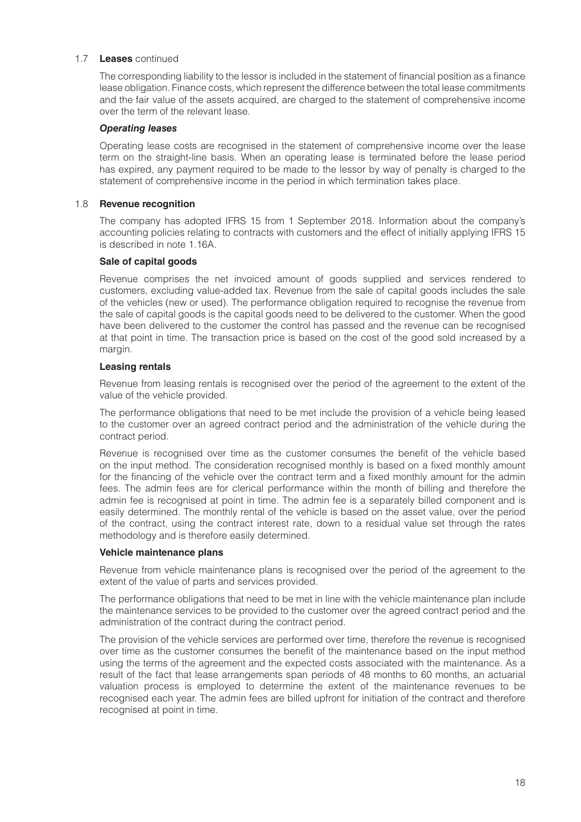#### 1.7 **Leases** continued

The corresponding liability to the lessor is included in the statement of financial position as a finance lease obligation. Finance costs, which represent the difference between the total lease commitments and the fair value of the assets acquired, are charged to the statement of comprehensive income over the term of the relevant lease.

#### *Operating leases*

Operating lease costs are recognised in the statement of comprehensive income over the lease term on the straight-line basis. When an operating lease is terminated before the lease period has expired, any payment required to be made to the lessor by way of penalty is charged to the statement of comprehensive income in the period in which termination takes place.

#### 1.8 **Revenue recognition**

The company has adopted IFRS 15 from 1 September 2018. Information about the company's accounting policies relating to contracts with customers and the effect of initially applying IFRS 15 is described in note 1.16A.

#### **Sale of capital goods**

Revenue comprises the net invoiced amount of goods supplied and services rendered to customers, excluding value-added tax. Revenue from the sale of capital goods includes the sale of the vehicles (new or used). The performance obligation required to recognise the revenue from the sale of capital goods is the capital goods need to be delivered to the customer. When the good have been delivered to the customer the control has passed and the revenue can be recognised at that point in time. The transaction price is based on the cost of the good sold increased by a margin.

#### **Leasing rentals**

Revenue from leasing rentals is recognised over the period of the agreement to the extent of the value of the vehicle provided.

The performance obligations that need to be met include the provision of a vehicle being leased to the customer over an agreed contract period and the administration of the vehicle during the contract period.

Revenue is recognised over time as the customer consumes the benefit of the vehicle based on the input method. The consideration recognised monthly is based on a fixed monthly amount for the financing of the vehicle over the contract term and a fixed monthly amount for the admin fees. The admin fees are for clerical performance within the month of billing and therefore the admin fee is recognised at point in time. The admin fee is a separately billed component and is easily determined. The monthly rental of the vehicle is based on the asset value, over the period of the contract, using the contract interest rate, down to a residual value set through the rates methodology and is therefore easily determined.

#### **Vehicle maintenance plans**

Revenue from vehicle maintenance plans is recognised over the period of the agreement to the extent of the value of parts and services provided.

The performance obligations that need to be met in line with the vehicle maintenance plan include the maintenance services to be provided to the customer over the agreed contract period and the administration of the contract during the contract period.

The provision of the vehicle services are performed over time, therefore the revenue is recognised over time as the customer consumes the benefit of the maintenance based on the input method using the terms of the agreement and the expected costs associated with the maintenance. As a result of the fact that lease arrangements span periods of 48 months to 60 months, an actuarial valuation process is employed to determine the extent of the maintenance revenues to be recognised each year. The admin fees are billed upfront for initiation of the contract and therefore recognised at point in time.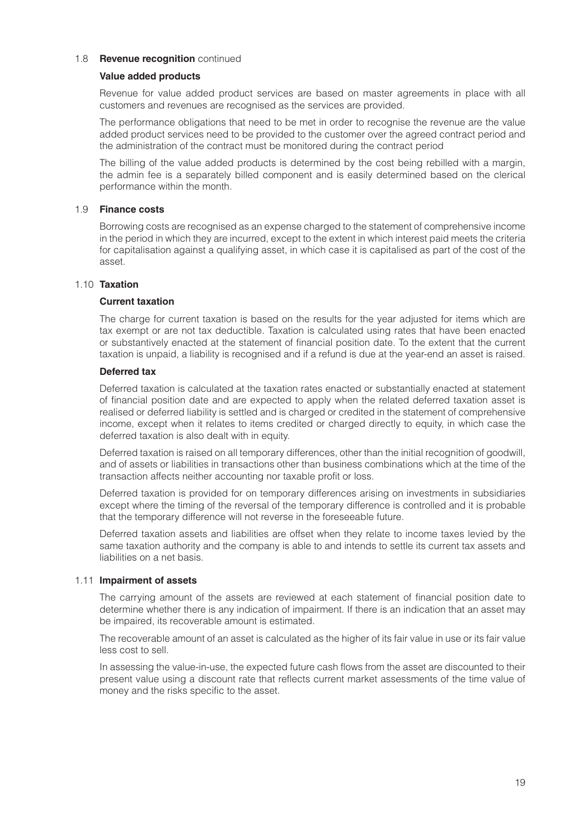#### 1.8 **Revenue recognition** continued

#### **Value added products**

Revenue for value added product services are based on master agreements in place with all customers and revenues are recognised as the services are provided.

The performance obligations that need to be met in order to recognise the revenue are the value added product services need to be provided to the customer over the agreed contract period and the administration of the contract must be monitored during the contract period

The billing of the value added products is determined by the cost being rebilled with a margin, the admin fee is a separately billed component and is easily determined based on the clerical performance within the month.

#### 1.9 **Finance costs**

Borrowing costs are recognised as an expense charged to the statement of comprehensive income in the period in which they are incurred, except to the extent in which interest paid meets the criteria for capitalisation against a qualifying asset, in which case it is capitalised as part of the cost of the asset.

#### 1.10 **Taxation**

#### **Current taxation**

The charge for current taxation is based on the results for the year adjusted for items which are tax exempt or are not tax deductible. Taxation is calculated using rates that have been enacted or substantively enacted at the statement of financial position date. To the extent that the current taxation is unpaid, a liability is recognised and if a refund is due at the year-end an asset is raised.

#### **Deferred tax**

Deferred taxation is calculated at the taxation rates enacted or substantially enacted at statement of financial position date and are expected to apply when the related deferred taxation asset is realised or deferred liability is settled and is charged or credited in the statement of comprehensive income, except when it relates to items credited or charged directly to equity, in which case the deferred taxation is also dealt with in equity.

Deferred taxation is raised on all temporary differences, other than the initial recognition of goodwill, and of assets or liabilities in transactions other than business combinations which at the time of the transaction affects neither accounting nor taxable profit or loss.

Deferred taxation is provided for on temporary differences arising on investments in subsidiaries except where the timing of the reversal of the temporary difference is controlled and it is probable that the temporary difference will not reverse in the foreseeable future.

Deferred taxation assets and liabilities are offset when they relate to income taxes levied by the same taxation authority and the company is able to and intends to settle its current tax assets and liabilities on a net basis.

#### 1.11 **Impairment of assets**

The carrying amount of the assets are reviewed at each statement of financial position date to determine whether there is any indication of impairment. If there is an indication that an asset may be impaired, its recoverable amount is estimated.

The recoverable amount of an asset is calculated as the higher of its fair value in use or its fair value less cost to sell.

In assessing the value-in-use, the expected future cash flows from the asset are discounted to their present value using a discount rate that reflects current market assessments of the time value of money and the risks specific to the asset.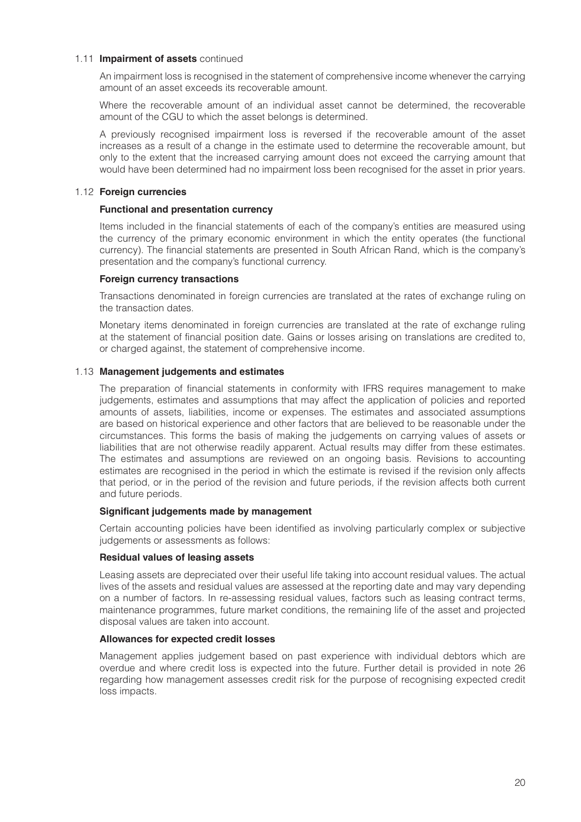#### 1.11 **Impairment of assets** continued

An impairment loss is recognised in the statement of comprehensive income whenever the carrying amount of an asset exceeds its recoverable amount.

Where the recoverable amount of an individual asset cannot be determined, the recoverable amount of the CGU to which the asset belongs is determined.

A previously recognised impairment loss is reversed if the recoverable amount of the asset increases as a result of a change in the estimate used to determine the recoverable amount, but only to the extent that the increased carrying amount does not exceed the carrying amount that would have been determined had no impairment loss been recognised for the asset in prior years.

#### 1.12 **Foreign currencies**

#### **Functional and presentation currency**

Items included in the financial statements of each of the company's entities are measured using the currency of the primary economic environment in which the entity operates (the functional currency). The financial statements are presented in South African Rand, which is the company's presentation and the company's functional currency.

#### **Foreign currency transactions**

Transactions denominated in foreign currencies are translated at the rates of exchange ruling on the transaction dates.

Monetary items denominated in foreign currencies are translated at the rate of exchange ruling at the statement of financial position date. Gains or losses arising on translations are credited to, or charged against, the statement of comprehensive income.

#### 1.13 **Management judgements and estimates**

The preparation of financial statements in conformity with IFRS requires management to make judgements, estimates and assumptions that may affect the application of policies and reported amounts of assets, liabilities, income or expenses. The estimates and associated assumptions are based on historical experience and other factors that are believed to be reasonable under the circumstances. This forms the basis of making the judgements on carrying values of assets or liabilities that are not otherwise readily apparent. Actual results may differ from these estimates. The estimates and assumptions are reviewed on an ongoing basis. Revisions to accounting estimates are recognised in the period in which the estimate is revised if the revision only affects that period, or in the period of the revision and future periods, if the revision affects both current and future periods.

#### **Significant judgements made by management**

Certain accounting policies have been identified as involving particularly complex or subjective judgements or assessments as follows:

#### **Residual values of leasing assets**

Leasing assets are depreciated over their useful life taking into account residual values. The actual lives of the assets and residual values are assessed at the reporting date and may vary depending on a number of factors. In re-assessing residual values, factors such as leasing contract terms, maintenance programmes, future market conditions, the remaining life of the asset and projected disposal values are taken into account.

#### **Allowances for expected credit losses**

Management applies judgement based on past experience with individual debtors which are overdue and where credit loss is expected into the future. Further detail is provided in note 26 regarding how management assesses credit risk for the purpose of recognising expected credit loss impacts.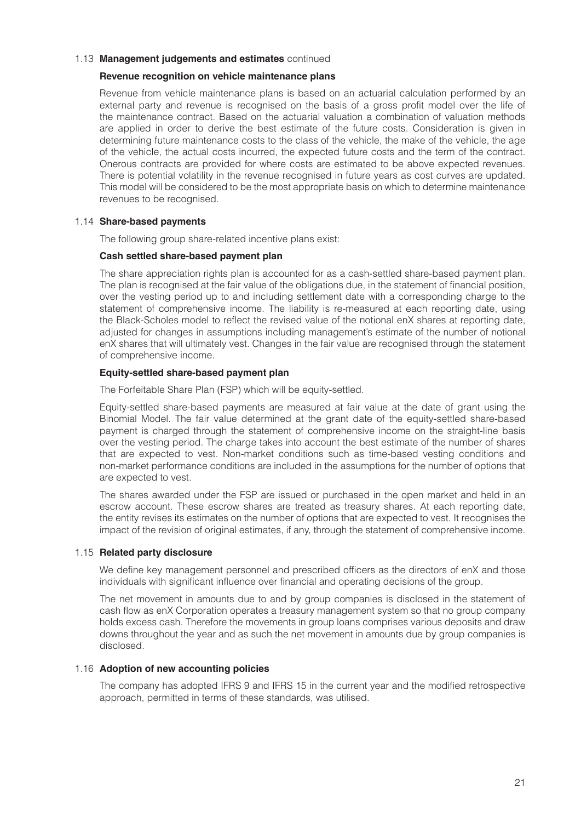#### 1.13 **Management judgements and estimates** continued

#### **Revenue recognition on vehicle maintenance plans**

Revenue from vehicle maintenance plans is based on an actuarial calculation performed by an external party and revenue is recognised on the basis of a gross profit model over the life of the maintenance contract. Based on the actuarial valuation a combination of valuation methods are applied in order to derive the best estimate of the future costs. Consideration is given in determining future maintenance costs to the class of the vehicle, the make of the vehicle, the age of the vehicle, the actual costs incurred, the expected future costs and the term of the contract. Onerous contracts are provided for where costs are estimated to be above expected revenues. There is potential volatility in the revenue recognised in future years as cost curves are updated. This model will be considered to be the most appropriate basis on which to determine maintenance revenues to be recognised.

#### 1.14 **Share-based payments**

The following group share-related incentive plans exist:

#### **Cash settled share-based payment plan**

The share appreciation rights plan is accounted for as a cash-settled share-based payment plan. The plan is recognised at the fair value of the obligations due, in the statement of financial position, over the vesting period up to and including settlement date with a corresponding charge to the statement of comprehensive income. The liability is re-measured at each reporting date, using the Black-Scholes model to reflect the revised value of the notional enX shares at reporting date, adjusted for changes in assumptions including management's estimate of the number of notional enX shares that will ultimately vest. Changes in the fair value are recognised through the statement of comprehensive income.

#### **Equity-settled share-based payment plan**

The Forfeitable Share Plan (FSP) which will be equity-settled.

Equity-settled share-based payments are measured at fair value at the date of grant using the Binomial Model. The fair value determined at the grant date of the equity-settled share-based payment is charged through the statement of comprehensive income on the straight-line basis over the vesting period. The charge takes into account the best estimate of the number of shares that are expected to vest. Non-market conditions such as time-based vesting conditions and non-market performance conditions are included in the assumptions for the number of options that are expected to vest.

The shares awarded under the FSP are issued or purchased in the open market and held in an escrow account. These escrow shares are treated as treasury shares. At each reporting date, the entity revises its estimates on the number of options that are expected to vest. It recognises the impact of the revision of original estimates, if any, through the statement of comprehensive income.

#### 1.15 **Related party disclosure**

We define key management personnel and prescribed officers as the directors of enX and those individuals with significant influence over financial and operating decisions of the group.

The net movement in amounts due to and by group companies is disclosed in the statement of cash flow as enX Corporation operates a treasury management system so that no group company holds excess cash. Therefore the movements in group loans comprises various deposits and draw downs throughout the year and as such the net movement in amounts due by group companies is disclosed.

#### 1.16 **Adoption of new accounting policies**

The company has adopted IFRS 9 and IFRS 15 in the current year and the modified retrospective approach, permitted in terms of these standards, was utilised.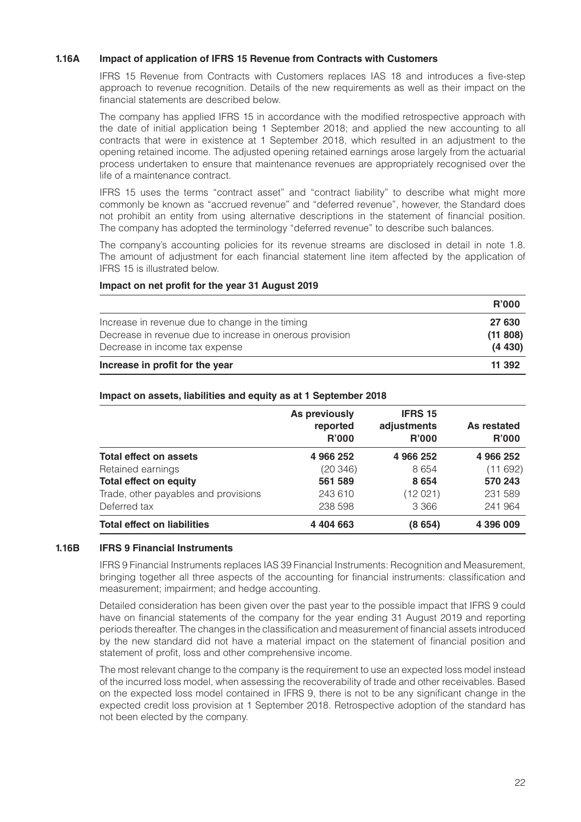#### **1.16A Impact of application of IFRS 15 Revenue from Contracts with Customers**

IFRS 15 Revenue from Contracts with Customers replaces IAS 18 and introduces a five-step approach to revenue recognition. Details of the new requirements as well as their impact on the financial statements are described below.

The company has applied IFRS 15 in accordance with the modified retrospective approach with the date of initial application being 1 September 2018; and applied the new accounting to all contracts that were in existence at 1 September 2018, which resulted in an adjustment to the opening retained income. The adjusted opening retained earnings arose largely from the actuarial process undertaken to ensure that maintenance revenues are appropriately recognised over the life of a maintenance contract.

IFRS 15 uses the terms "contract asset" and "contract liability" to describe what might more commonly be known as "accrued revenue" and "deferred revenue", however, the Standard does not prohibit an entity from using alternative descriptions in the statement of financial position. The company has adopted the terminology "deferred revenue" to describe such balances.

The company's accounting policies for its revenue streams are disclosed in detail in note 1.8. The amount of adjustment for each financial statement line item affected by the application of IFRS 15 is illustrated below.

#### **Impact on net profit for the year 31 August 2019**

| Increase in profit for the year                          | 11 392       |
|----------------------------------------------------------|--------------|
| Decrease in income tax expense                           | (4430)       |
| Decrease in revenue due to increase in onerous provision | (11808)      |
| Increase in revenue due to change in the timing          | 27 630       |
|                                                          | <b>R'000</b> |

#### **Impact on assets, liabilities and equity as at 1 September 2018**

|                                      | As previously<br>reported<br><b>R'000</b> | <b>IFRS 15</b><br>adjustments<br>R'000 | As restated<br><b>R'000</b> |
|--------------------------------------|-------------------------------------------|----------------------------------------|-----------------------------|
| <b>Total effect on assets</b>        | 4 966 252                                 | 4 966 252                              | 4 966 252                   |
| Retained earnings                    | (20346)                                   | 8654                                   | (11692)                     |
| <b>Total effect on equity</b>        | 561 589                                   | 8654                                   | 570 243                     |
| Trade, other payables and provisions | 243 610                                   | (12021)                                | 231 589                     |
| Deferred tax                         | 238 598                                   | 3 3 6 6                                | 241 964                     |
| <b>Total effect on liabilities</b>   | 4 404 663                                 | (8654)                                 | 4 396 009                   |

#### **1.16B IFRS 9 Financial Instruments**

IFRS 9 Financial Instruments replaces IAS 39 Financial Instruments: Recognition and Measurement, bringing together all three aspects of the accounting for financial instruments: classification and measurement; impairment; and hedge accounting.

Detailed consideration has been given over the past year to the possible impact that IFRS 9 could have on financial statements of the company for the year ending 31 August 2019 and reporting periods thereafter. The changes in the classification and measurement of financial assets introduced by the new standard did not have a material impact on the statement of financial position and statement of profit, loss and other comprehensive income.

The most relevant change to the company is the requirement to use an expected loss model instead of the incurred loss model, when assessing the recoverability of trade and other receivables. Based on the expected loss model contained in IFRS 9, there is not to be any significant change in the expected credit loss provision at 1 September 2018. Retrospective adoption of the standard has not been elected by the company.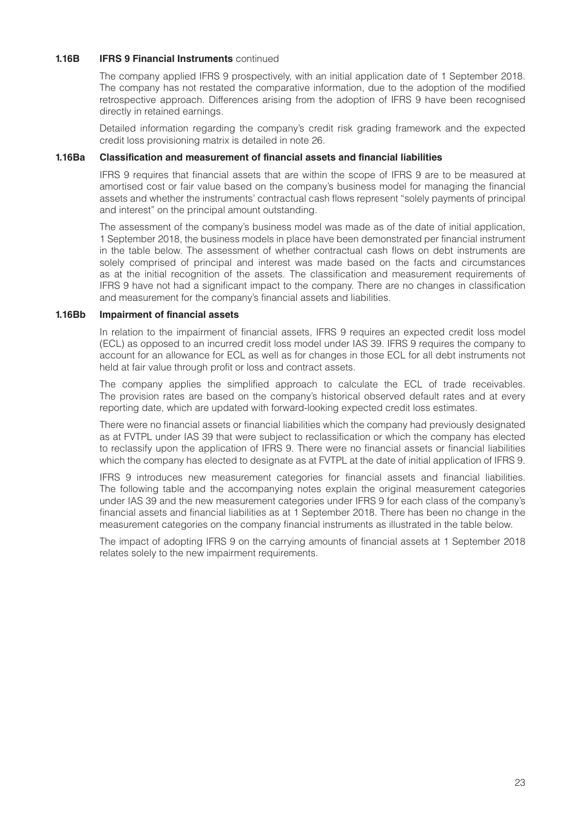#### **1.16B IFRS 9 Financial Instruments** continued

The company applied IFRS 9 prospectively, with an initial application date of 1 September 2018. The company has not restated the comparative information, due to the adoption of the modified retrospective approach. Differences arising from the adoption of IFRS 9 have been recognised directly in retained earnings.

Detailed information regarding the company's credit risk grading framework and the expected credit loss provisioning matrix is detailed in note 26.

#### **1.16Ba Classification and measurement of financial assets and financial liabilities**

IFRS 9 requires that financial assets that are within the scope of IFRS 9 are to be measured at amortised cost or fair value based on the company's business model for managing the financial assets and whether the instruments' contractual cash flows represent "solely payments of principal and interest" on the principal amount outstanding.

The assessment of the company's business model was made as of the date of initial application, 1 September 2018, the business models in place have been demonstrated per financial instrument in the table below. The assessment of whether contractual cash flows on debt instruments are solely comprised of principal and interest was made based on the facts and circumstances as at the initial recognition of the assets. The classification and measurement requirements of IFRS 9 have not had a significant impact to the company. There are no changes in classification and measurement for the company's financial assets and liabilities.

#### **1.16Bb Impairment of financial assets**

In relation to the impairment of financial assets, IFRS 9 requires an expected credit loss model (ECL) as opposed to an incurred credit loss model under IAS 39. IFRS 9 requires the company to account for an allowance for ECL as well as for changes in those ECL for all debt instruments not held at fair value through profit or loss and contract assets.

The company applies the simplified approach to calculate the ECL of trade receivables. The provision rates are based on the company's historical observed default rates and at every reporting date, which are updated with forward-looking expected credit loss estimates.

There were no financial assets or financial liabilities which the company had previously designated as at FVTPL under IAS 39 that were subject to reclassification or which the company has elected to reclassify upon the application of IFRS 9. There were no financial assets or financial liabilities which the company has elected to designate as at FVTPL at the date of initial application of IFRS 9.

IFRS 9 introduces new measurement categories for financial assets and financial liabilities. The following table and the accompanying notes explain the original measurement categories under IAS 39 and the new measurement categories under IFRS 9 for each class of the company's financial assets and financial liabilities as at 1 September 2018. There has been no change in the measurement categories on the company financial instruments as illustrated in the table below.

The impact of adopting IFRS 9 on the carrying amounts of financial assets at 1 September 2018 relates solely to the new impairment requirements.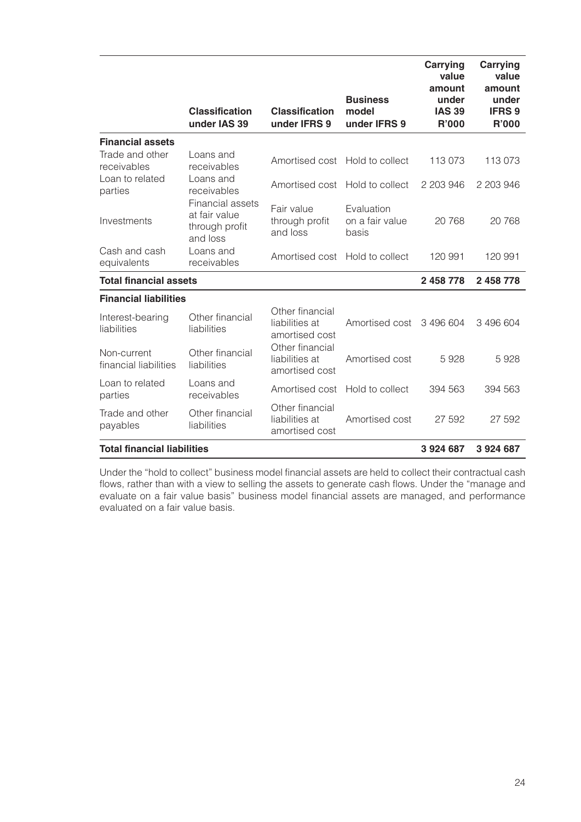|                                      | <b>Classification</b><br>under IAS 39                           | <b>Classification</b><br>under IFRS 9               | <b>Business</b><br>model<br>under IFRS 9 | <b>Carrying</b><br>value<br>amount<br>under<br><b>IAS 39</b><br><b>R'000</b> | <b>Carrying</b><br>value<br>amount<br>under<br>IFRS <sub>9</sub><br><b>R'000</b> |
|--------------------------------------|-----------------------------------------------------------------|-----------------------------------------------------|------------------------------------------|------------------------------------------------------------------------------|----------------------------------------------------------------------------------|
| <b>Financial assets</b>              |                                                                 |                                                     |                                          |                                                                              |                                                                                  |
| Trade and other<br>receivables       | Loans and<br>receivables                                        |                                                     | Amortised cost Hold to collect           | 113 073                                                                      | 113 073                                                                          |
| Loan to related<br>parties           | Loans and<br>receivables                                        | Amortised cost                                      | Hold to collect                          | 2 203 946                                                                    | 2 203 946                                                                        |
| Investments                          | Financial assets<br>at fair value<br>through profit<br>and loss | Fair value<br>through profit<br>and loss            | Evaluation<br>on a fair value<br>basis   | 20 768                                                                       | 20 768                                                                           |
| Cash and cash<br>equivalents         | Loans and<br>receivables                                        |                                                     | Amortised cost Hold to collect           | 120 991                                                                      | 120 991                                                                          |
| <b>Total financial assets</b>        |                                                                 |                                                     |                                          | 2 458 778                                                                    | 2 458 778                                                                        |
| <b>Financial liabilities</b>         |                                                                 |                                                     |                                          |                                                                              |                                                                                  |
| Interest-bearing<br>liabilities      | Other financial<br>liabilities                                  | Other financial<br>liabilities at<br>amortised cost | Amortised cost                           | 3496604                                                                      | 3 496 604                                                                        |
| Non-current<br>financial liabilities | Other financial<br>liabilities                                  | Other financial<br>liabilities at<br>amortised cost | Amortised cost                           | 5928                                                                         | 5928                                                                             |
| Loan to related<br>parties           | Loans and<br>receivables                                        | Amortised cost                                      | Hold to collect                          | 394 563                                                                      | 394 563                                                                          |
| Trade and other<br>payables          | Other financial<br>liabilities                                  | Other financial<br>liabilities at<br>amortised cost | Amortised cost                           | 27 592                                                                       | 27 592                                                                           |
| <b>Total financial liabilities</b>   |                                                                 |                                                     |                                          | 3924687                                                                      | 3924687                                                                          |

Under the "hold to collect" business model financial assets are held to collect their contractual cash flows, rather than with a view to selling the assets to generate cash flows. Under the "manage and evaluate on a fair value basis" business model financial assets are managed, and performance evaluated on a fair value basis.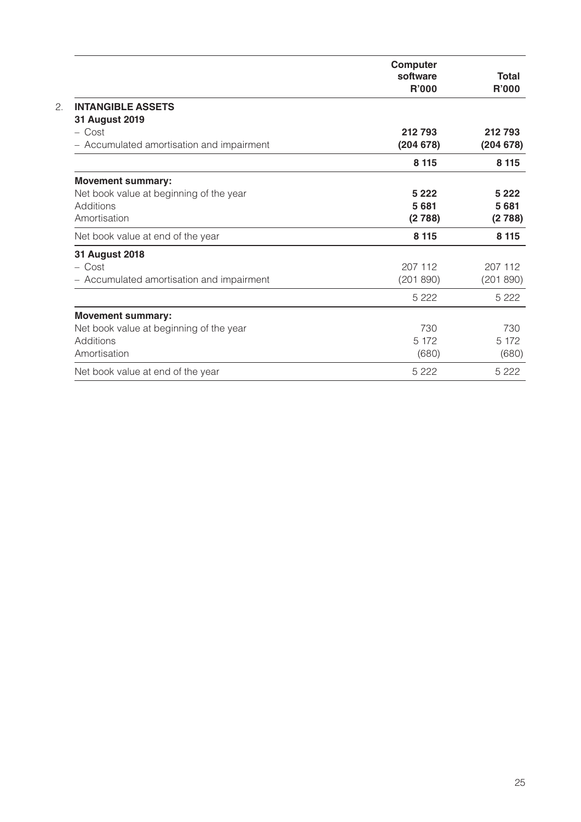|                                           | <b>Computer</b><br>software<br>R'000 | Total<br>R'000 |
|-------------------------------------------|--------------------------------------|----------------|
| <b>INTANGIBLE ASSETS</b>                  |                                      |                |
| 31 August 2019                            |                                      |                |
| - Cost                                    | 212 793                              | 212793         |
| - Accumulated amortisation and impairment | (204678)                             | (204678)       |
|                                           | 8 1 1 5                              | 8 1 1 5        |
| <b>Movement summary:</b>                  |                                      |                |
| Net book value at beginning of the year   | 5 2 2 2                              | 5 2 2 2        |
| <b>Additions</b>                          | 5681                                 | 5681           |
| Amortisation                              | (2788)                               | (2788)         |
| Net book value at end of the year         | 8 1 1 5                              | 8 1 1 5        |
| 31 August 2018                            |                                      |                |
| - Cost                                    | 207 112                              | 207 112        |
| - Accumulated amortisation and impairment | (201890)                             | (201890)       |
|                                           | 5 2 2 2                              | 5 2 2 2        |
| <b>Movement summary:</b>                  |                                      |                |
| Net book value at beginning of the year   | 730                                  | 730            |
| <b>Additions</b>                          | 5 172                                | 5 1 7 2        |
| Amortisation                              | (680)                                | (680)          |
| Net book value at end of the year         | 5 2 2 2                              | 5 2 2 2        |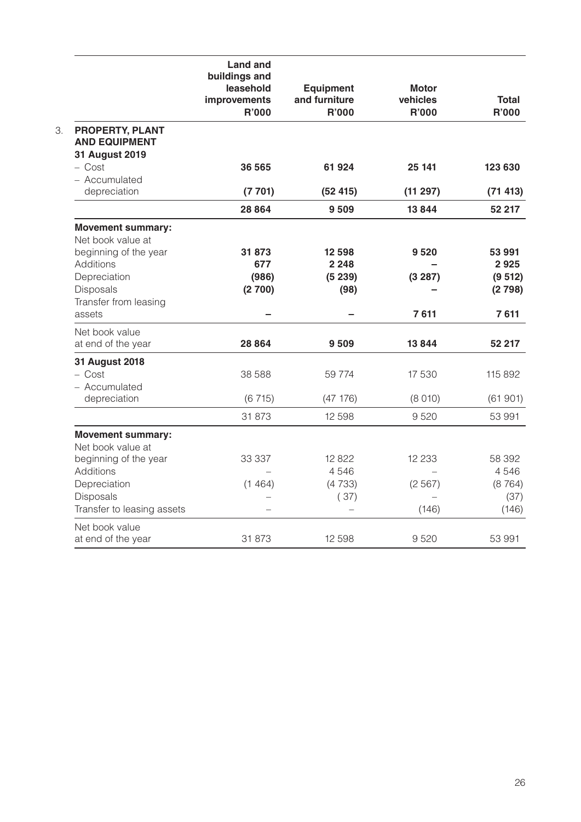|                                 | <b>Land and</b><br>buildings and<br>leasehold<br>improvements<br><b>R'000</b> | <b>Equipment</b><br>and furniture<br><b>R'000</b> | <b>Motor</b><br>vehicles<br>R'000 | <b>Total</b><br><b>R'000</b> |
|---------------------------------|-------------------------------------------------------------------------------|---------------------------------------------------|-----------------------------------|------------------------------|
| <b>PROPERTY, PLANT</b>          |                                                                               |                                                   |                                   |                              |
| <b>AND EQUIPMENT</b>            |                                                                               |                                                   |                                   |                              |
| 31 August 2019<br>- Cost        |                                                                               |                                                   | 25 141                            | 123 630                      |
| - Accumulated                   | 36 565                                                                        | 61 924                                            |                                   |                              |
| depreciation                    | (7701)                                                                        | (52 415)                                          | (11 297)                          | (71 413)                     |
|                                 | 28 8 64                                                                       | 9509                                              | 13844                             | 52 217                       |
| <b>Movement summary:</b>        |                                                                               |                                                   |                                   |                              |
| Net book value at               |                                                                               |                                                   |                                   |                              |
| beginning of the year           | 31 873                                                                        | 12 5 98                                           | 9520                              | 53 991                       |
| <b>Additions</b>                | 677                                                                           | 2 2 4 8                                           |                                   | 2925                         |
| Depreciation                    | (986)                                                                         | (5239)                                            | (3 287)                           | (9512)                       |
| Disposals                       | (2700)                                                                        | (98)                                              |                                   | (2798)                       |
| Transfer from leasing<br>assets |                                                                               |                                                   | 7611                              | 7611                         |
| Net book value                  |                                                                               |                                                   |                                   |                              |
| at end of the year              | 28 8 64                                                                       | 9509                                              | 13844                             | 52 217                       |
| <b>31 August 2018</b>           |                                                                               |                                                   |                                   |                              |
| - Cost                          | 38 588                                                                        | 59 7 74                                           | 17 530                            | 115 892                      |
| - Accumulated                   |                                                                               |                                                   |                                   |                              |
| depreciation                    | (6715)                                                                        | (47 176)                                          | (8010)                            | (61901)                      |
|                                 | 31 873                                                                        | 12 598                                            | 9520                              | 53 991                       |
| <b>Movement summary:</b>        |                                                                               |                                                   |                                   |                              |
| Net book value at               |                                                                               |                                                   |                                   |                              |
| beginning of the year           | 33 337                                                                        | 12822                                             | 12 2 3 3                          | 58 392                       |
| <b>Additions</b>                |                                                                               | 4546                                              |                                   | 4546                         |
| Depreciation                    | (1464)                                                                        | (4733)                                            | (2567)                            | (8764)                       |
| Disposals                       |                                                                               | (37)                                              |                                   | (37)                         |
| Transfer to leasing assets      |                                                                               |                                                   | (146)                             | (146)                        |
| Net book value                  |                                                                               |                                                   |                                   |                              |
| at end of the year              | 31 873                                                                        | 12 5 98                                           | 9520                              | 53 991                       |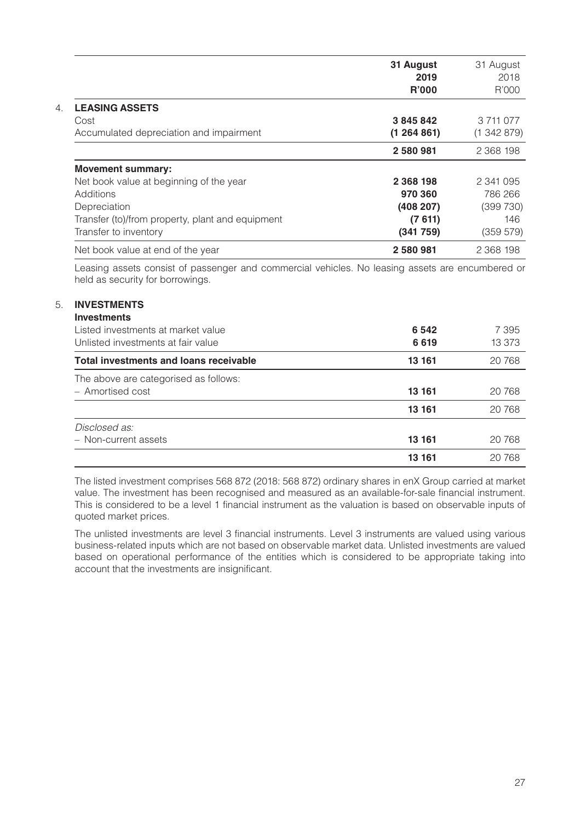|                                                                                                                                      | 31 August<br>2019 | 31 August<br>2018 |
|--------------------------------------------------------------------------------------------------------------------------------------|-------------------|-------------------|
|                                                                                                                                      | R'000             | R'000             |
| <b>LEASING ASSETS</b>                                                                                                                |                   |                   |
| Cost                                                                                                                                 | 3 845 842         | 3 711 077         |
| Accumulated depreciation and impairment                                                                                              | (1264861)         | (1342879)         |
|                                                                                                                                      | 2 580 981         | 2 3 68 1 98       |
| <b>Movement summary:</b>                                                                                                             |                   |                   |
| Net book value at beginning of the year                                                                                              | 2 368 198         | 2 341 0 95        |
| Additions                                                                                                                            | 970 360           | 786 266           |
| Depreciation                                                                                                                         | (408 207)         | (399 730)         |
| Transfer (to)/from property, plant and equipment                                                                                     | (7611)            | 146               |
| Transfer to inventory                                                                                                                | (341 759)         | (359 579)         |
| Net book value at end of the year                                                                                                    | 2 580 981         | 2 3 68 1 98       |
| Leasing assets consist of passenger and commercial vehicles. No leasing assets are encumbered or<br>held as security for borrowings. |                   |                   |
| <b>INVESTMENTS</b>                                                                                                                   |                   |                   |
| <b>Investments</b>                                                                                                                   |                   |                   |
| Listed investments at market value                                                                                                   | 6 5 4 2           | 7 3 9 5           |
| Unlisted investments at fair value                                                                                                   | 6619              | 13 373            |
| <b>Total investments and loans receivable</b>                                                                                        | 13 161            | 20 768            |
| The above are categorised as follows:                                                                                                |                   |                   |
| - Amortised cost                                                                                                                     | 13 161            | 20 768            |
|                                                                                                                                      | 13 161            | 20768             |
| Disclosed as:                                                                                                                        |                   |                   |
| - Non-current assets                                                                                                                 | 13 161            | 20768             |

The listed investment comprises 568 872 (2018: 568 872) ordinary shares in enX Group carried at market value. The investment has been recognised and measured as an available-for-sale financial instrument. This is considered to be a level 1 financial instrument as the valuation is based on observable inputs of quoted market prices.

The unlisted investments are level 3 financial instruments. Level 3 instruments are valued using various business-related inputs which are not based on observable market data. Unlisted investments are valued based on operational performance of the entities which is considered to be appropriate taking into account that the investments are insignificant.

**13 161** 20 768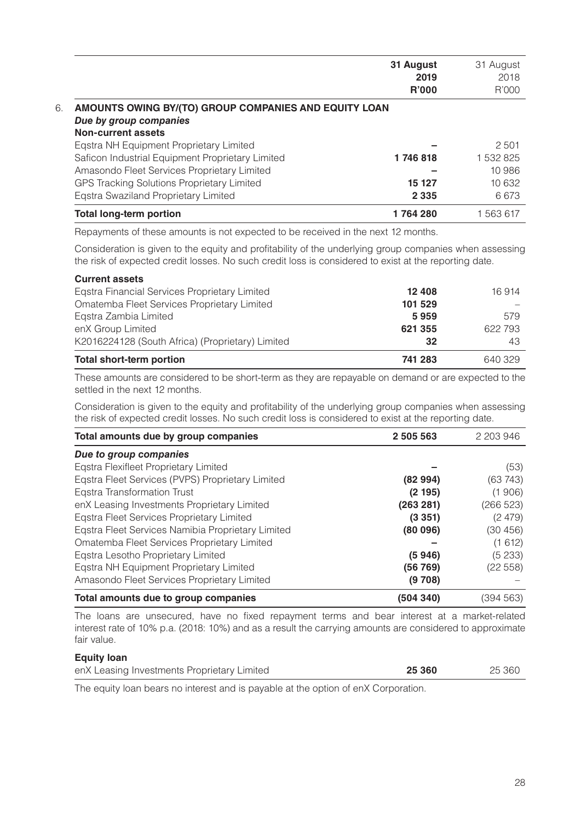|    |                                                                                                                                                                                                                                         | 31 August<br>2019<br><b>R'000</b> | 31 August<br>2018<br>R'000                    |
|----|-----------------------------------------------------------------------------------------------------------------------------------------------------------------------------------------------------------------------------------------|-----------------------------------|-----------------------------------------------|
| 6. | AMOUNTS OWING BY/(TO) GROUP COMPANIES AND EQUITY LOAN<br>Due by group companies<br>Non-current assets                                                                                                                                   |                                   |                                               |
|    | Eqstra NH Equipment Proprietary Limited<br>Saficon Industrial Equipment Proprietary Limited<br>Amasondo Fleet Services Proprietary Limited<br><b>GPS Tracking Solutions Proprietary Limited</b><br>Eqstra Swaziland Proprietary Limited | 1746818<br>15 127<br>2 3 3 5      | 2501<br>1 532 825<br>10 986<br>10 632<br>6673 |
|    | <b>Total long-term portion</b>                                                                                                                                                                                                          | 1764280                           | 1 563 617                                     |

Repayments of these amounts is not expected to be received in the next 12 months.

Consideration is given to the equity and profitability of the underlying group companies when assessing the risk of expected credit losses. No such credit loss is considered to exist at the reporting date.

#### **Current assets**

| Eqstra Financial Services Proprietary Limited    | 12 4 08 | 16 914  |
|--------------------------------------------------|---------|---------|
| Omatemba Fleet Services Proprietary Limited      | 101 529 |         |
| Eqstra Zambia Limited                            | 5959    | 579     |
| enX Group Limited                                | 621 355 | 622 793 |
| K2016224128 (South Africa) (Proprietary) Limited | 32      | 43      |
| <b>Total short-term portion</b>                  | 741 283 | 640 329 |

These amounts are considered to be short-term as they are repayable on demand or are expected to the settled in the next 12 months.

Consideration is given to the equity and profitability of the underlying group companies when assessing the risk of expected credit losses. No such credit loss is considered to exist at the reporting date.

| Total amounts due by group companies              | 2 505 563 | 2 203 946 |
|---------------------------------------------------|-----------|-----------|
| Due to group companies                            |           |           |
| Eqstra Flexifleet Proprietary Limited             |           | (53)      |
| Egstra Fleet Services (PVPS) Proprietary Limited  | (82994)   | (63743)   |
| Eqstra Transformation Trust                       | (2195)    | (1906)    |
| enX Leasing Investments Proprietary Limited       | (263 281) | (266523)  |
| Eqstra Fleet Services Proprietary Limited         | (3351)    | (2479)    |
| Egstra Fleet Services Namibia Proprietary Limited | (80096)   | (30456)   |
| Omatemba Fleet Services Proprietary Limited       |           | (1612)    |
| Eqstra Lesotho Proprietary Limited                | (5 946)   | (5233)    |
| Eqstra NH Equipment Proprietary Limited           | (56 769)  | (22558)   |
| Amasondo Fleet Services Proprietary Limited       | (9708)    |           |
| Total amounts due to group companies              | (504 340) | (394 563) |

The loans are unsecured, have no fixed repayment terms and bear interest at a market-related interest rate of 10% p.a. (2018: 10%) and as a result the carrying amounts are considered to approximate fair value.

#### **Equity loan**

| enX Leasing Investments Proprietary Limited<br>25 360<br>25 36 |
|----------------------------------------------------------------|
|----------------------------------------------------------------|

The equity loan bears no interest and is payable at the option of enX Corporation.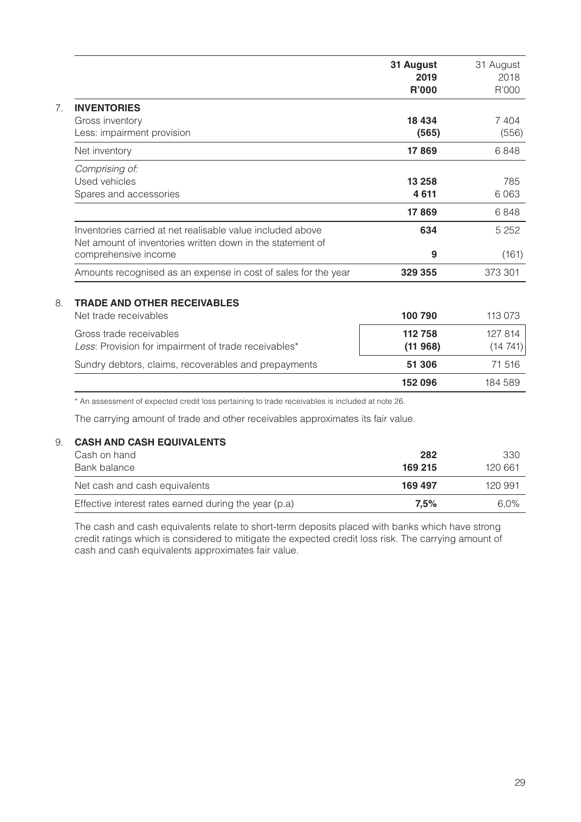|                                                                                                                          | 31 August<br>2019<br><b>R'000</b> | 31 August<br>2018<br>R'000 |
|--------------------------------------------------------------------------------------------------------------------------|-----------------------------------|----------------------------|
| 7.<br><b>INVENTORIES</b>                                                                                                 |                                   |                            |
| Gross inventory                                                                                                          | 18 4 34                           | 7404                       |
| Less: impairment provision                                                                                               | (565)                             | (556)                      |
| Net inventory                                                                                                            | 17869                             | 6848                       |
| Comprising of:                                                                                                           |                                   |                            |
| Used vehicles                                                                                                            | 13 258                            | 785                        |
| Spares and accessories                                                                                                   | 4611                              | 6 0 6 3                    |
|                                                                                                                          | 17869                             | 6848                       |
| Inventories carried at net realisable value included above<br>Net amount of inventories written down in the statement of | 634                               | 5 2 5 2                    |
| comprehensive income                                                                                                     | 9                                 | (161)                      |
| Amounts recognised as an expense in cost of sales for the year                                                           | 329 355                           | 373 301                    |
| 8.<br><b>TRADE AND OTHER RECEIVABLES</b>                                                                                 |                                   |                            |
| Net trade receivables                                                                                                    | 100 790                           | 113 073                    |
| Gross trade receivables                                                                                                  | 112 758                           | 127 814                    |
| Less: Provision for impairment of trade receivables*                                                                     | (11968)                           | (14 741)                   |
| Sundry debtors, claims, recoverables and prepayments                                                                     | 51 306                            | 71 516                     |
|                                                                                                                          | 152 096                           | 184 589                    |

\* An assessment of expected credit loss pertaining to trade receivables is included at note 26.

The carrying amount of trade and other receivables approximates its fair value.

#### 9. **CASH AND CASH EQUIVALENTS**

| Cash on hand<br>Bank balance                          | 282<br>169 215 | 330<br>120 661 |
|-------------------------------------------------------|----------------|----------------|
| Net cash and cash equivalents                         | 169 497        | 120 991        |
| Effective interest rates earned during the year (p.a) | 7.5%           | $6.0\%$        |

The cash and cash equivalents relate to short-term deposits placed with banks which have strong credit ratings which is considered to mitigate the expected credit loss risk. The carrying amount of cash and cash equivalents approximates fair value.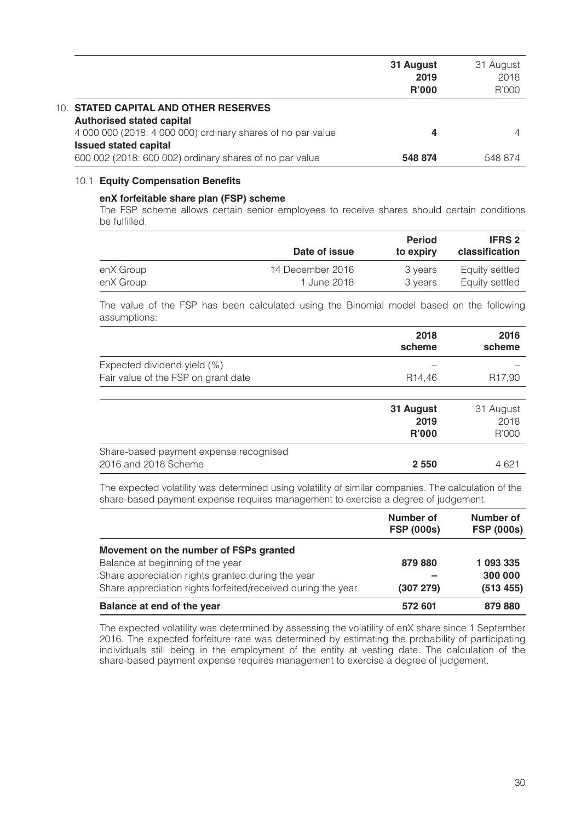|                                                                                         | 31 August<br>2019<br><b>R'000</b> | 31 August<br>2018<br>R'000 |
|-----------------------------------------------------------------------------------------|-----------------------------------|----------------------------|
| 10. STATED CAPITAL AND OTHER RESERVES<br><b>Authorised stated capital</b>               |                                   |                            |
| 4 000 000 (2018: 4 000 000) ordinary shares of no par value                             | 4                                 | 4                          |
| <b>Issued stated capital</b><br>600 002 (2018: 600 002) ordinary shares of no par value | 548 874                           | 548 874                    |

#### 10.1 **Equity Compensation Benefits**

#### **enX forfeitable share plan (FSP) scheme**

The FSP scheme allows certain senior employees to receive shares should certain conditions be fulfilled.

|           | Date of issue    | <b>Period</b><br>to expiry | <b>IFRS 2</b><br>classification |
|-----------|------------------|----------------------------|---------------------------------|
| enX Group | 14 December 2016 | 3 years                    | Equity settled                  |
| enX Group | 1 June 2018      | 3 vears                    | Equity settled                  |

The value of the FSP has been calculated using the Binomial model based on the following assumptions:

|                                        | 2018<br>scheme     | 2016<br>scheme     |
|----------------------------------------|--------------------|--------------------|
| Expected dividend yield (%)            |                    |                    |
| Fair value of the FSP on grant date    | R <sub>14,46</sub> | R <sub>17,90</sub> |
|                                        |                    |                    |
|                                        | 31 August          | 31 August          |
|                                        | 2019               | 2018               |
|                                        | <b>R'000</b>       | R'000              |
| Share-based payment expense recognised |                    |                    |
| 2016 and 2018 Scheme                   | 2 5 5 0            | 4 621              |

The expected volatility was determined using volatility of similar companies. The calculation of the share-based payment expense requires management to exercise a degree of judgement.

|                                                              | Number of<br><b>FSP (000s)</b> | Number of<br><b>FSP (000s)</b> |
|--------------------------------------------------------------|--------------------------------|--------------------------------|
| Movement on the number of FSPs granted                       |                                |                                |
| Balance at beginning of the year                             | 879 880                        | 1 093 335                      |
| Share appreciation rights granted during the year            |                                | 300 000                        |
| Share appreciation rights forfeited/received during the year | (307 279)                      | (513 455)                      |
| Balance at end of the year                                   | 572 601                        | 879 880                        |

The expected volatility was determined by assessing the volatility of enX share since 1 September 2016. The expected forfeiture rate was determined by estimating the probability of participating individuals still being in the employment of the entity at vesting date. The calculation of the share-based payment expense requires management to exercise a degree of judgement.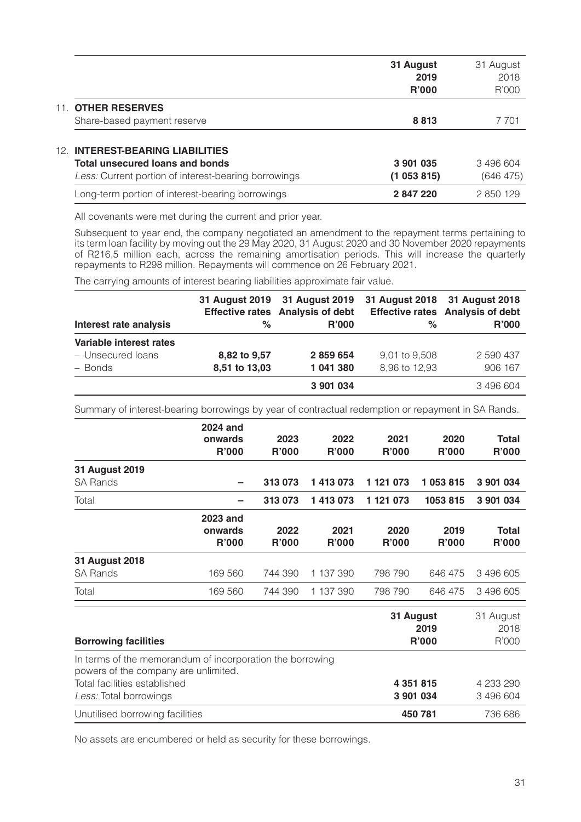|                                                                                                                                    | 31 August<br>2019<br><b>R'000</b> | 31 August<br>2018<br>R'000 |
|------------------------------------------------------------------------------------------------------------------------------------|-----------------------------------|----------------------------|
| <b>OTHER RESERVES</b><br>Share-based payment reserve                                                                               | 8813                              | 7 701                      |
| 12. INTEREST-BEARING LIABILITIES<br><b>Total unsecured loans and bonds</b><br>Less: Current portion of interest-bearing borrowings | 3 901 035<br>(1 053 815)          | 3496604<br>(646 475)       |
| Long-term portion of interest-bearing borrowings                                                                                   | 2847220                           | 2850129                    |

All covenants were met during the current and prior year.

Subsequent to year end, the company negotiated an amendment to the repayment terms pertaining to its term loan facility by moving out the 29 May 2020, 31 August 2020 and 30 November 2020 repayments of R216,5 million each, across the remaining amortisation periods. This will increase the quarterly repayments to R298 million. Repayments will commence on 26 February 2021.

The carrying amounts of interest bearing liabilities approximate fair value.

| Interest rate analysis  | %             | 31 August 2019 31 August 2019<br><b>Effective rates Analysis of debt</b><br><b>R'000</b> | %             | 31 August 2018 31 August 2018<br><b>Effective rates Analysis of debt</b><br>R'000 |
|-------------------------|---------------|------------------------------------------------------------------------------------------|---------------|-----------------------------------------------------------------------------------|
| Variable interest rates |               |                                                                                          |               |                                                                                   |
| - Unsecured loans       | 8,82 to 9,57  | 2 859 654                                                                                | 9.01 to 9.508 | 2 590 437                                                                         |
| - Bonds                 | 8,51 to 13,03 | 1 041 380                                                                                | 8,96 to 12,93 | 906 167                                                                           |
|                         |               | 3 901 034                                                                                |               | 3 496 604                                                                         |

Summary of interest-bearing borrowings by year of contractual redemption or repayment in SA Rands.

|                                          | <b>2024 and</b><br>onwards<br>R'000        | 2023<br>R'000 | 2022<br>R'000 | 2021<br>R'000 | 2020<br>R'000 | Total<br><b>R'000</b> |
|------------------------------------------|--------------------------------------------|---------------|---------------|---------------|---------------|-----------------------|
| 31 August 2019                           |                                            |               |               |               |               |                       |
| <b>SA Rands</b>                          |                                            | 313 073       | 1 413 073     | 1 121 073     | 1 053 815     | 3 901 034             |
| Total                                    |                                            | 313 073       | 1 413 073     | 1 121 073     | 1053 815      | 3 901 034             |
|                                          | <b>2023 and</b><br>onwards<br><b>R'000</b> | 2022<br>R'000 | 2021<br>R'000 | 2020<br>R'000 | 2019<br>R'000 | Total<br>R'000        |
| <b>31 August 2018</b><br><b>SA Rands</b> | 169 560                                    | 744 390       | 1 137 390     | 798 790       | 646 475       | 3 496 605             |
| Total                                    | 169 560                                    | 744 390       | 1 137 390     | 798 790       | 646 475       | 3 496 605             |
|                                          |                                            |               |               | 31 August     | 2019          | 31 August<br>2018     |
| <b>Borrowing facilities</b>              |                                            |               |               |               | <b>R'000</b>  | R'000                 |

In terms of the memorandum of incorporation the borrowing powers of the company are unlimited. Total facilities established **4 351 815** 4 233 290 *Less:* Total borrowings **3 901 034** 3 496 604 Unutilised borrowing facilities **450 781** 736 686

No assets are encumbered or held as security for these borrowings.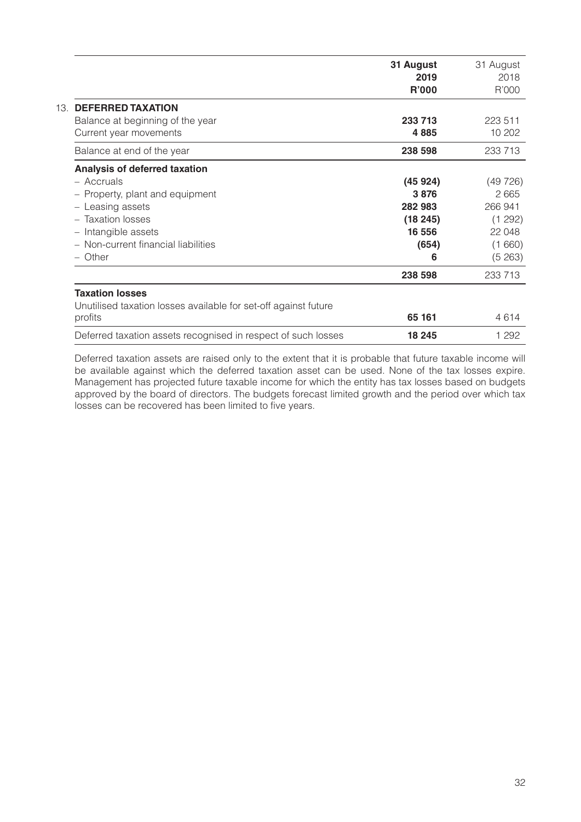|                                                                 | 31 August<br>2019<br><b>R'000</b> | 31 August<br>2018<br>R'000 |
|-----------------------------------------------------------------|-----------------------------------|----------------------------|
| <b>DEFERRED TAXATION</b><br>13.                                 |                                   |                            |
| Balance at beginning of the year                                | 233 713                           | 223 511                    |
| Current year movements                                          | 4885                              | 10 20 2                    |
| Balance at end of the year                                      | 238 598                           | 233 713                    |
| Analysis of deferred taxation                                   |                                   |                            |
| - Accruals                                                      | (45924)                           | (49726)                    |
| - Property, plant and equipment                                 | 3876                              | 2 6 6 5                    |
| - Leasing assets                                                | 282 983                           | 266 941                    |
| - Taxation losses                                               | (18245)                           | (1 292)                    |
| - Intangible assets                                             | 16 556                            | 22 048                     |
| - Non-current financial liabilities                             | (654)                             | (1660)                     |
| - Other                                                         | 6                                 | (5263)                     |
|                                                                 | 238 598                           | 233 713                    |
| <b>Taxation losses</b>                                          |                                   |                            |
| Unutilised taxation losses available for set-off against future |                                   |                            |
| profits                                                         | 65 161                            | 4614                       |
| Deferred taxation assets recognised in respect of such losses   | 18 245                            | 1 2 9 2                    |

Deferred taxation assets are raised only to the extent that it is probable that future taxable income will be available against which the deferred taxation asset can be used. None of the tax losses expire. Management has projected future taxable income for which the entity has tax losses based on budgets approved by the board of directors. The budgets forecast limited growth and the period over which tax losses can be recovered has been limited to five years.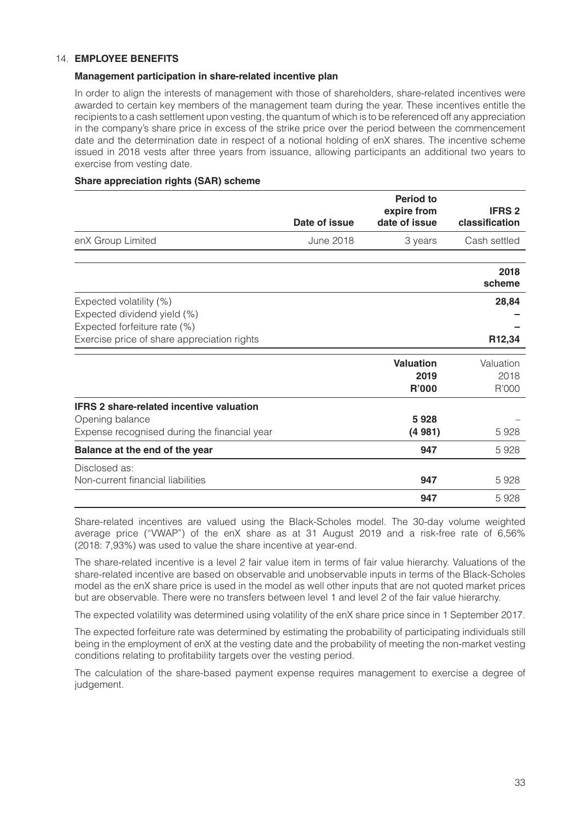#### 14. **EMPLOYEE BENEFITS**

#### **Management participation in share-related incentive plan**

In order to align the interests of management with those of shareholders, share-related incentives were awarded to certain key members of the management team during the year. These incentives entitle the recipients to a cash settlement upon vesting, the quantum of which is to be referenced off any appreciation in the company's share price in excess of the strike price over the period between the commencement date and the determination date in respect of a notional holding of enX shares. The incentive scheme issued in 2018 vests after three years from issuance, allowing participants an additional two years to exercise from vesting date.

#### **Share appreciation rights (SAR) scheme**

|                                                                                                                                       | Date of issue | <b>Period to</b><br>expire from<br>date of issue | <b>IFRS 2</b><br>classification |
|---------------------------------------------------------------------------------------------------------------------------------------|---------------|--------------------------------------------------|---------------------------------|
| enX Group Limited                                                                                                                     | June 2018     | 3 years                                          | Cash settled                    |
|                                                                                                                                       |               |                                                  | 2018<br>scheme                  |
| Expected volatility (%)<br>Expected dividend yield (%)<br>Expected forfeiture rate (%)<br>Exercise price of share appreciation rights |               |                                                  | 28,84<br>R12,34                 |
|                                                                                                                                       |               | Valuation<br>2019<br><b>R'000</b>                | Valuation<br>2018<br>R'000      |
| <b>IFRS 2 share-related incentive valuation</b><br>Opening balance<br>Expense recognised during the financial year                    |               | 5928<br>(4981)                                   | 5928                            |
| Balance at the end of the year                                                                                                        |               | 947                                              | 5928                            |
| Disclosed as:<br>Non-current financial liabilities                                                                                    |               | 947                                              | 5928                            |
|                                                                                                                                       |               | 947                                              | 5928                            |

Share-related incentives are valued using the Black-Scholes model. The 30-day volume weighted average price ("VWAP") of the enX share as at 31 August 2019 and a risk-free rate of 6,56% (2018: 7,93%) was used to value the share incentive at year-end.

The share-related incentive is a level 2 fair value item in terms of fair value hierarchy. Valuations of the share-related incentive are based on observable and unobservable inputs in terms of the Black-Scholes model as the enX share price is used in the model as well other inputs that are not quoted market prices but are observable. There were no transfers between level 1 and level 2 of the fair value hierarchy.

The expected volatility was determined using volatility of the enX share price since in 1 September 2017.

The expected forfeiture rate was determined by estimating the probability of participating individuals still being in the employment of enX at the vesting date and the probability of meeting the non-market vesting conditions relating to profitability targets over the vesting period.

The calculation of the share-based payment expense requires management to exercise a degree of judgement.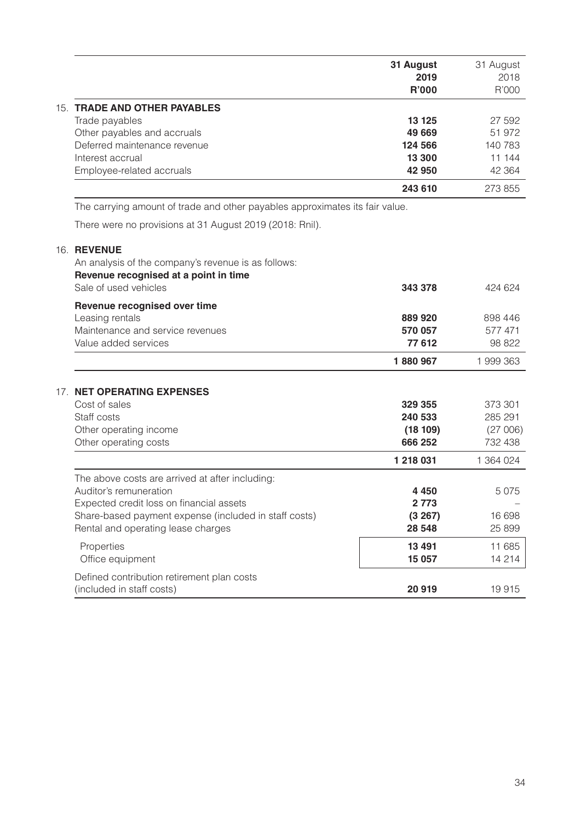|                                                                                                             | 31 August<br>2019<br><b>R'000</b> | 31 August<br>2018<br>R'000 |
|-------------------------------------------------------------------------------------------------------------|-----------------------------------|----------------------------|
| 15. TRADE AND OTHER PAYABLES                                                                                |                                   |                            |
| Trade payables                                                                                              | 13 125                            | 27 592                     |
| Other payables and accruals                                                                                 | 49 669                            | 51972                      |
| Deferred maintenance revenue                                                                                | 124 566                           | 140 783                    |
| Interest accrual                                                                                            | 13 300                            | 11 144                     |
| Employee-related accruals                                                                                   | 42 950                            | 42 3 64                    |
|                                                                                                             | 243 610                           | 273 855                    |
| The carrying amount of trade and other payables approximates its fair value.                                |                                   |                            |
| There were no provisions at 31 August 2019 (2018: Rnil).                                                    |                                   |                            |
| 16. REVENUE<br>An analysis of the company's revenue is as follows:<br>Revenue recognised at a point in time |                                   |                            |
| Sale of used vehicles                                                                                       | 343 378                           | 424 624                    |
| Revenue recognised over time                                                                                |                                   |                            |
| Leasing rentals                                                                                             | 889 920                           | 898 446                    |
| Maintenance and service revenues                                                                            | 570 057                           | 577 471                    |
| Value added services                                                                                        | 77 612                            | 98 822                     |
|                                                                                                             | 1880967                           | 1999363                    |
| 17. NET OPERATING EXPENSES                                                                                  |                                   |                            |
| Cost of sales                                                                                               | 329 355                           | 373 301                    |
| Staff costs                                                                                                 | 240 533                           | 285 291                    |
| Other operating income                                                                                      | (18109)                           | (27006)                    |
| Other operating costs                                                                                       | 666 252                           | 732 438                    |
|                                                                                                             | 1 218 031                         | 1 364 024                  |
| The above costs are arrived at after including:                                                             |                                   |                            |
| Auditor's remuneration                                                                                      | 4 4 5 0                           | 5 0 7 5                    |
| Expected credit loss on financial assets                                                                    | 2 7 7 3                           |                            |
| Share-based payment expense (included in staff costs)                                                       | (3 267)                           | 16 698                     |
| Rental and operating lease charges                                                                          | 28 548                            | 25 899                     |
| Properties                                                                                                  | 13 4 91                           | 11 685                     |
| Office equipment                                                                                            | 15 057                            | 14 214                     |
| Defined contribution retirement plan costs<br>(included in staff costs)                                     | 20 919                            | 19915                      |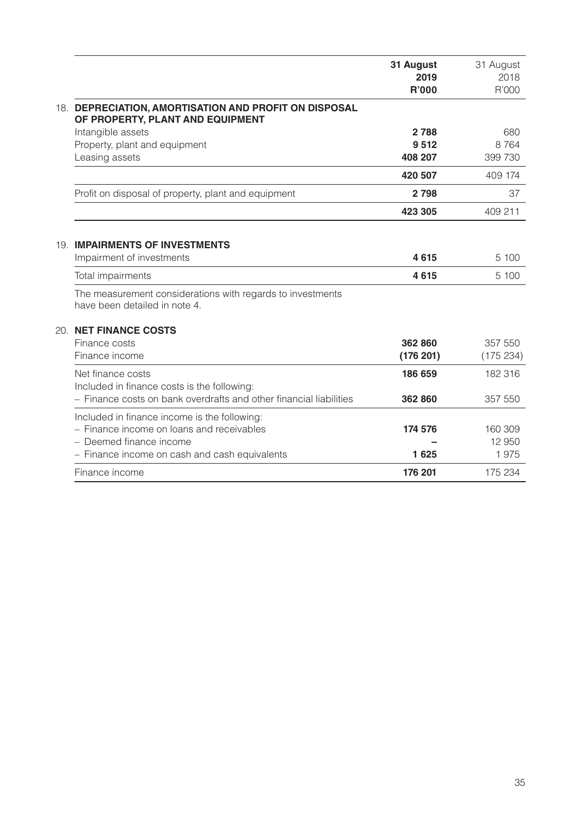|                                                                                             | 31 August<br>2019<br><b>R'000</b> | 31 August<br>2018<br>R'000 |
|---------------------------------------------------------------------------------------------|-----------------------------------|----------------------------|
| 18. DEPRECIATION, AMORTISATION AND PROFIT ON DISPOSAL<br>OF PROPERTY, PLANT AND EQUIPMENT   |                                   |                            |
| Intangible assets                                                                           | 2 7 8 8                           | 680                        |
| Property, plant and equipment                                                               | 9512                              | 8764                       |
| Leasing assets                                                                              | 408 207                           | 399 730                    |
|                                                                                             | 420 507                           | 409 174                    |
| Profit on disposal of property, plant and equipment                                         | 2798                              | 37                         |
|                                                                                             | 423 305                           | 409 211                    |
| <b>19. IMPAIRMENTS OF INVESTMENTS</b><br>Impairment of investments                          | 4615                              | 5 100                      |
| Total impairments                                                                           | 4615                              | 5 100                      |
| The measurement considerations with regards to investments<br>have been detailed in note 4. |                                   |                            |
| 20. NET FINANCE COSTS                                                                       |                                   |                            |
| Finance costs                                                                               | 362 860                           | 357 550                    |
| Finance income                                                                              | (176 201)                         | (175 234)                  |
| Net finance costs<br>Included in finance costs is the following:                            | 186 659                           | 182 316                    |
| - Finance costs on bank overdrafts and other financial liabilities                          | 362 860                           | 357 550                    |
| Included in finance income is the following:                                                |                                   |                            |
| - Finance income on loans and receivables                                                   | 174 576                           | 160 309                    |
| - Deemed finance income                                                                     |                                   | 12 950                     |
| - Finance income on cash and cash equivalents                                               | 1625                              | 1975                       |
| Finance income                                                                              | 176 201                           | 175 234                    |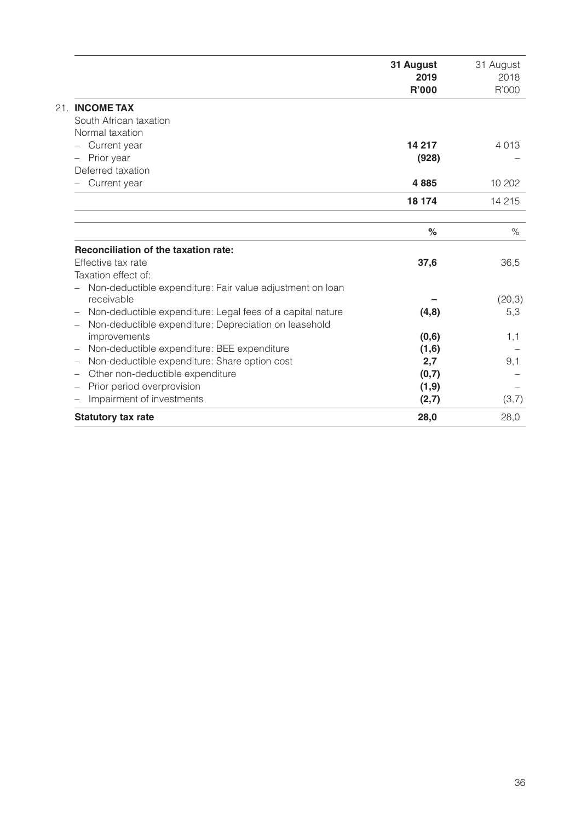|                                                                                                                     | 31 August<br>2019<br><b>R'000</b> | 31 August<br>2018<br>R'000 |
|---------------------------------------------------------------------------------------------------------------------|-----------------------------------|----------------------------|
| 21. INCOME TAX                                                                                                      |                                   |                            |
| South African taxation                                                                                              |                                   |                            |
| Normal taxation                                                                                                     |                                   |                            |
| Current year                                                                                                        | 14 217                            | 4 0 1 3                    |
| Prior year                                                                                                          | (928)                             |                            |
| Deferred taxation                                                                                                   |                                   |                            |
| Current year                                                                                                        | 4885                              | 10 20 2                    |
|                                                                                                                     | 18 174                            | 14 215                     |
|                                                                                                                     | $\%$                              | $\%$                       |
| <b>Reconciliation of the taxation rate:</b>                                                                         |                                   |                            |
| Effective tax rate                                                                                                  | 37,6                              | 36,5                       |
| Taxation effect of:                                                                                                 |                                   |                            |
| Non-deductible expenditure: Fair value adjustment on loan                                                           |                                   |                            |
| receivable                                                                                                          |                                   | (20,3)                     |
| Non-deductible expenditure: Legal fees of a capital nature<br>Non-deductible expenditure: Depreciation on leasehold | (4,8)                             | 5,3                        |
| improvements                                                                                                        | (0,6)                             | 1,1                        |
| Non-deductible expenditure: BEE expenditure<br>$\qquad \qquad -$                                                    | (1,6)                             |                            |
| Non-deductible expenditure: Share option cost<br>$\overline{\phantom{m}}$                                           | 2,7                               | 9,1                        |
| Other non-deductible expenditure                                                                                    | (0,7)                             |                            |
| Prior period overprovision                                                                                          | (1,9)                             |                            |
| Impairment of investments                                                                                           | (2,7)                             | (3,7)                      |
| <b>Statutory tax rate</b>                                                                                           | 28,0                              | 28,0                       |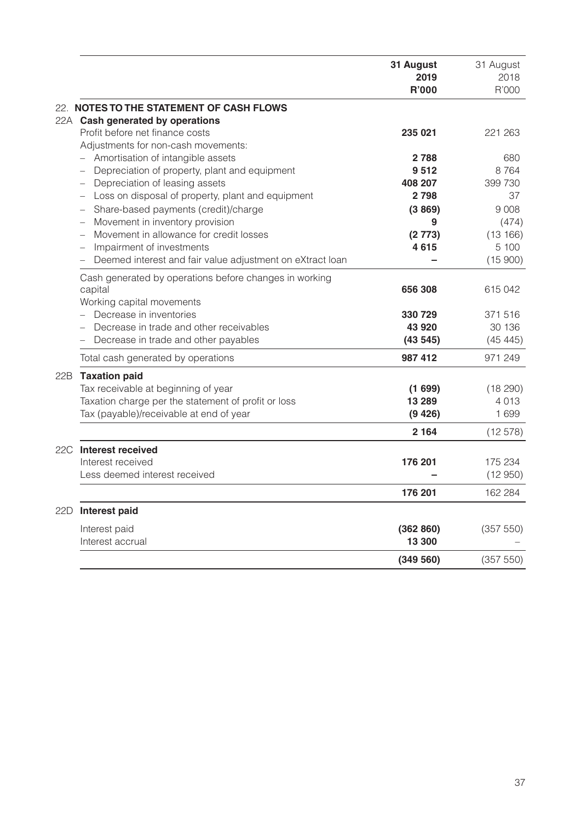|     |                                                           | 31 August<br>2019<br>R'000 | 31 August<br>2018<br>R'000 |
|-----|-----------------------------------------------------------|----------------------------|----------------------------|
|     | 22. NOTES TO THE STATEMENT OF CASH FLOWS                  |                            |                            |
|     | 22A Cash generated by operations                          |                            |                            |
|     | Profit before net finance costs                           | 235 021                    | 221 263                    |
|     | Adjustments for non-cash movements:                       |                            |                            |
|     | - Amortisation of intangible assets                       | 2788                       | 680                        |
|     | Depreciation of property, plant and equipment             | 9512                       | 8764                       |
|     | Depreciation of leasing assets                            | 408 207                    | 399 730                    |
|     | Loss on disposal of property, plant and equipment         | 2798                       | 37                         |
|     | Share-based payments (credit)/charge                      | (3869)                     | 9 0 0 8                    |
|     | Movement in inventory provision                           | 9                          | (474)                      |
|     | Movement in allowance for credit losses                   | (2773)                     | (13166)                    |
|     | Impairment of investments                                 | 4615                       | 5 100                      |
|     | Deemed interest and fair value adjustment on eXtract loan |                            | (15900)                    |
|     | Cash generated by operations before changes in working    |                            |                            |
|     | capital                                                   | 656 308                    | 615 042                    |
|     | Working capital movements                                 |                            |                            |
|     | Decrease in inventories                                   | 330 729                    | 371516                     |
|     | Decrease in trade and other receivables                   | 43 920                     | 30 136                     |
|     | Decrease in trade and other payables                      | (43545)                    | (45445)                    |
|     | Total cash generated by operations                        | 987 412                    | 971 249                    |
| 22B | <b>Taxation paid</b>                                      |                            |                            |
|     | Tax receivable at beginning of year                       | (1699)                     | (18 290)                   |
|     | Taxation charge per the statement of profit or loss       | 13 289                     | 4013                       |
|     | Tax (payable)/receivable at end of year                   | (9426)                     | 1699                       |
|     |                                                           | 2 1 6 4                    | (12578)                    |
|     | 22C Interest received                                     |                            |                            |
|     | Interest received                                         | 176 201                    | 175 234                    |
|     | Less deemed interest received                             |                            | (12950)                    |
|     |                                                           | 176 201                    | 162 284                    |
| 22D | Interest paid                                             |                            |                            |
|     | Interest paid                                             | (362 860)                  | (357 550)                  |
|     | Interest accrual                                          | 13 300                     |                            |
|     |                                                           | (349 560)                  | (357 550)                  |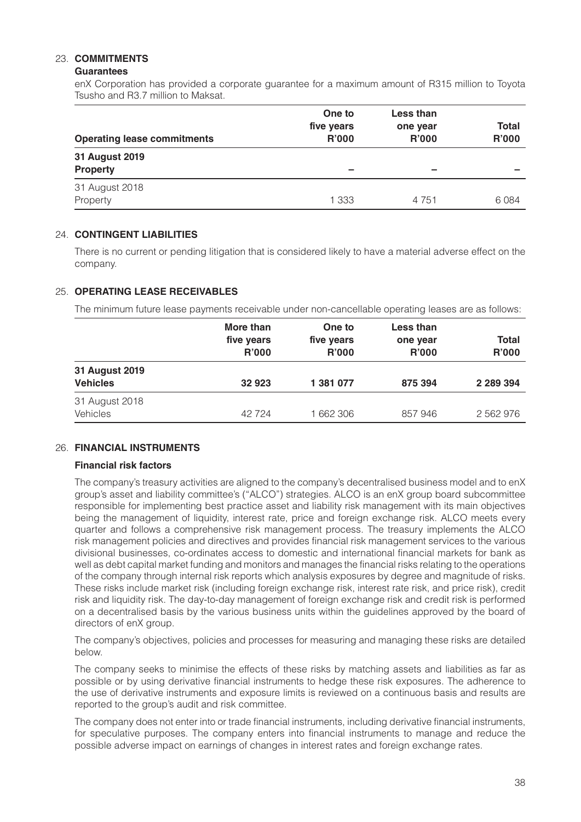### 23. **COMMITMENTS**

#### **Guarantees**

enX Corporation has provided a corporate guarantee for a maximum amount of R315 million to Toyota Tsusho and R3.7 million to Maksat.

| <b>Operating lease commitments</b> | One to<br>five years<br><b>R'000</b> | Less than<br>one year<br><b>R'000</b> | Total<br><b>R'000</b> |
|------------------------------------|--------------------------------------|---------------------------------------|-----------------------|
| 31 August 2019<br><b>Property</b>  |                                      |                                       |                       |
| 31 August 2018<br>Property         | 1 333                                | 4 7 5 1                               | 6084                  |

#### 24. **CONTINGENT LIABILITIES**

There is no current or pending litigation that is considered likely to have a material adverse effect on the company.

#### 25. **OPERATING LEASE RECEIVABLES**

The minimum future lease payments receivable under non-cancellable operating leases are as follows:

|                                   | More than<br>five years<br><b>R'000</b> | One to<br>five years<br><b>R'000</b> | Less than<br>one year<br><b>R'000</b> | Total<br><b>R'000</b> |
|-----------------------------------|-----------------------------------------|--------------------------------------|---------------------------------------|-----------------------|
| 31 August 2019<br><b>Vehicles</b> | 32 923                                  | 1 381 077                            | 875 394                               | 2 2 8 3 3 4           |
| 31 August 2018<br>Vehicles        | 42 7 24                                 | 1 662 306                            | 857946                                | 2 562 976             |

#### 26. **FINANCIAL INSTRUMENTS**

#### **Financial risk factors**

The company's treasury activities are aligned to the company's decentralised business model and to enX group's asset and liability committee's ("ALCO") strategies. ALCO is an enX group board subcommittee responsible for implementing best practice asset and liability risk management with its main objectives being the management of liquidity, interest rate, price and foreign exchange risk. ALCO meets every quarter and follows a comprehensive risk management process. The treasury implements the ALCO risk management policies and directives and provides financial risk management services to the various divisional businesses, co-ordinates access to domestic and international financial markets for bank as well as debt capital market funding and monitors and manages the financial risks relating to the operations of the company through internal risk reports which analysis exposures by degree and magnitude of risks. These risks include market risk (including foreign exchange risk, interest rate risk, and price risk), credit risk and liquidity risk. The day-to-day management of foreign exchange risk and credit risk is performed on a decentralised basis by the various business units within the guidelines approved by the board of directors of enX group.

The company's objectives, policies and processes for measuring and managing these risks are detailed below.

The company seeks to minimise the effects of these risks by matching assets and liabilities as far as possible or by using derivative financial instruments to hedge these risk exposures. The adherence to the use of derivative instruments and exposure limits is reviewed on a continuous basis and results are reported to the group's audit and risk committee.

The company does not enter into or trade financial instruments, including derivative financial instruments, for speculative purposes. The company enters into financial instruments to manage and reduce the possible adverse impact on earnings of changes in interest rates and foreign exchange rates.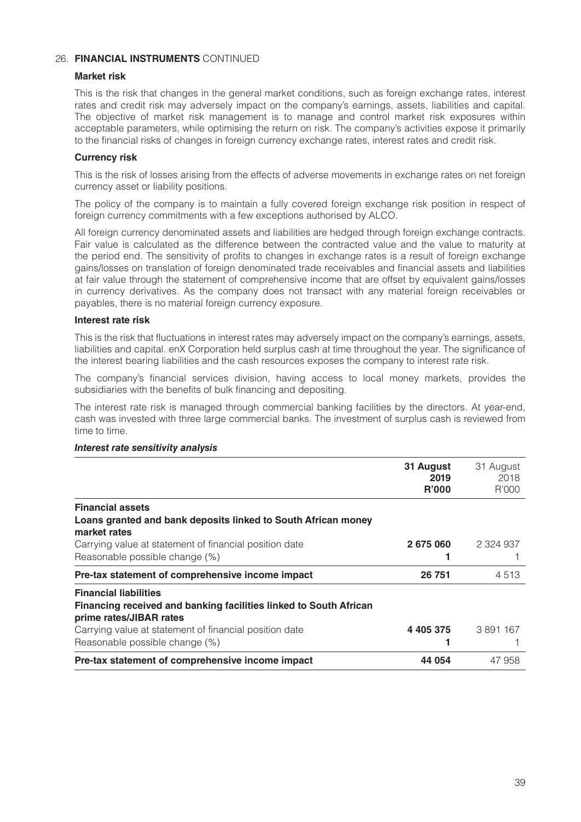#### **Market risk**

This is the risk that changes in the general market conditions, such as foreign exchange rates, interest rates and credit risk may adversely impact on the company's earnings, assets, liabilities and capital. The objective of market risk management is to manage and control market risk exposures within acceptable parameters, while optimising the return on risk. The company's activities expose it primarily to the financial risks of changes in foreign currency exchange rates, interest rates and credit risk.

#### **Currency risk**

This is the risk of losses arising from the effects of adverse movements in exchange rates on net foreign currency asset or liability positions.

The policy of the company is to maintain a fully covered foreign exchange risk position in respect of foreign currency commitments with a few exceptions authorised by ALCO.

All foreign currency denominated assets and liabilities are hedged through foreign exchange contracts. Fair value is calculated as the difference between the contracted value and the value to maturity at the period end. The sensitivity of profits to changes in exchange rates is a result of foreign exchange gains/losses on translation of foreign denominated trade receivables and financial assets and liabilities at fair value through the statement of comprehensive income that are offset by equivalent gains/losses in currency derivatives. As the company does not transact with any material foreign receivables or payables, there is no material foreign currency exposure.

#### **Interest rate risk**

This is the risk that fluctuations in interest rates may adversely impact on the company's earnings, assets, liabilities and capital. enX Corporation held surplus cash at time throughout the year. The significance of the interest bearing liabilities and the cash resources exposes the company to interest rate risk.

The company's financial services division, having access to local money markets, provides the subsidiaries with the benefits of bulk financing and depositing.

The interest rate risk is managed through commercial banking facilities by the directors. At year-end, cash was invested with three large commercial banks. The investment of surplus cash is reviewed from time to time.

|                                                                                              | 31 August<br>2019<br><b>R'000</b> | 31 August<br>2018<br>R'000 |
|----------------------------------------------------------------------------------------------|-----------------------------------|----------------------------|
| <b>Financial assets</b>                                                                      |                                   |                            |
| Loans granted and bank deposits linked to South African money<br>market rates                |                                   |                            |
| Carrying value at statement of financial position date                                       | 2675060                           | 2 324 937                  |
| Reasonable possible change (%)                                                               |                                   |                            |
| Pre-tax statement of comprehensive income impact                                             | 26 751                            | 4 5 1 3                    |
| <b>Financial liabilities</b>                                                                 |                                   |                            |
| Financing received and banking facilities linked to South African<br>prime rates/JIBAR rates |                                   |                            |
| Carrying value at statement of financial position date                                       | 4 4 0 5 3 7 5                     | 3891167                    |
| Reasonable possible change (%)                                                               |                                   |                            |
| Pre-tax statement of comprehensive income impact                                             | 44 054                            | 47 958                     |

#### *Interest rate sensitivity analysis*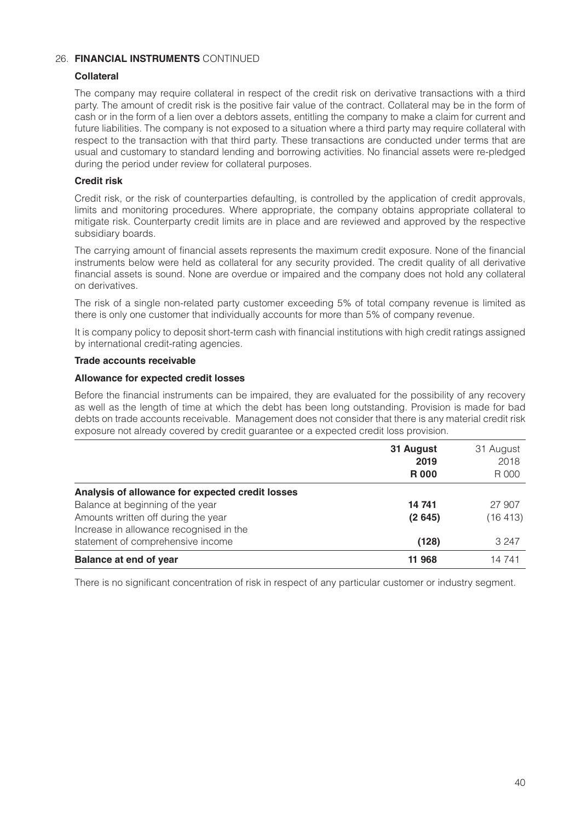#### **Collateral**

The company may require collateral in respect of the credit risk on derivative transactions with a third party. The amount of credit risk is the positive fair value of the contract. Collateral may be in the form of cash or in the form of a lien over a debtors assets, entitling the company to make a claim for current and future liabilities. The company is not exposed to a situation where a third party may require collateral with respect to the transaction with that third party. These transactions are conducted under terms that are usual and customary to standard lending and borrowing activities. No financial assets were re-pledged during the period under review for collateral purposes.

#### **Credit risk**

Credit risk, or the risk of counterparties defaulting, is controlled by the application of credit approvals, limits and monitoring procedures. Where appropriate, the company obtains appropriate collateral to mitigate risk. Counterparty credit limits are in place and are reviewed and approved by the respective subsidiary boards.

The carrying amount of financial assets represents the maximum credit exposure. None of the financial instruments below were held as collateral for any security provided. The credit quality of all derivative financial assets is sound. None are overdue or impaired and the company does not hold any collateral on derivatives.

The risk of a single non-related party customer exceeding 5% of total company revenue is limited as there is only one customer that individually accounts for more than 5% of company revenue.

It is company policy to deposit short-term cash with financial institutions with high credit ratings assigned by international credit-rating agencies.

#### **Trade accounts receivable**

#### **Allowance for expected credit losses**

Before the financial instruments can be impaired, they are evaluated for the possibility of any recovery as well as the length of time at which the debt has been long outstanding. Provision is made for bad debts on trade accounts receivable. Management does not consider that there is any material credit risk exposure not already covered by credit guarantee or a expected credit loss provision.

|                                                  | 31 August<br>2019<br>R 000 | 31 August<br>2018<br>R 000 |
|--------------------------------------------------|----------------------------|----------------------------|
| Analysis of allowance for expected credit losses |                            |                            |
| Balance at beginning of the year                 | 14 741                     | 27 907                     |
| Amounts written off during the year              | (2645)                     | (16413)                    |
| Increase in allowance recognised in the          |                            |                            |
| statement of comprehensive income                | (128)                      | 3 2 4 7                    |
| <b>Balance at end of year</b>                    | 11 968                     | 14741                      |

There is no significant concentration of risk in respect of any particular customer or industry segment.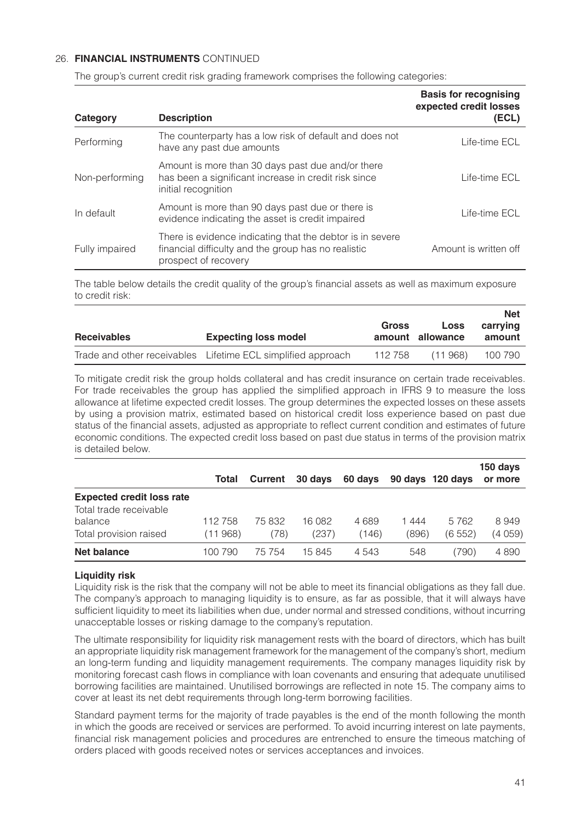| Category       | <b>Description</b>                                                                                                                       | <b>Basis for recognising</b><br>expected credit losses<br>(ECL) |
|----------------|------------------------------------------------------------------------------------------------------------------------------------------|-----------------------------------------------------------------|
| Performing     | The counterparty has a low risk of default and does not<br>have any past due amounts                                                     | Life-time ECL                                                   |
| Non-performing | Amount is more than 30 days past due and/or there<br>has been a significant increase in credit risk since<br>initial recognition         | Life-time ECL                                                   |
| In default     | Amount is more than 90 days past due or there is<br>evidence indicating the asset is credit impaired                                     | Life-time ECL                                                   |
| Fully impaired | There is evidence indicating that the debtor is in severe<br>financial difficulty and the group has no realistic<br>prospect of recovery | Amount is written off                                           |

The group's current credit risk grading framework comprises the following categories:

The table below details the credit quality of the group's financial assets as well as maximum exposure to credit risk:

|                    |                                                              | Gross   | <b>Loss</b>      | <b>Net</b><br>carrying<br>amount |
|--------------------|--------------------------------------------------------------|---------|------------------|----------------------------------|
| <b>Receivables</b> | <b>Expecting loss model</b>                                  |         | amount allowance |                                  |
|                    | Trade and other receivables Lifetime ECL simplified approach | 112 758 | (11968)          | 100 790                          |

To mitigate credit risk the group holds collateral and has credit insurance on certain trade receivables. For trade receivables the group has applied the simplified approach in IFRS 9 to measure the loss allowance at lifetime expected credit losses. The group determines the expected losses on these assets by using a provision matrix, estimated based on historical credit loss experience based on past due status of the financial assets, adjusted as appropriate to reflect current condition and estimates of future economic conditions. The expected credit loss based on past due status in terms of the provision matrix is detailed below.

|                                  |         |         |         |         |       |                  | 150 days |
|----------------------------------|---------|---------|---------|---------|-------|------------------|----------|
|                                  | Total   | Current | 30 days | 60 days |       | 90 days 120 days | or more  |
| <b>Expected credit loss rate</b> |         |         |         |         |       |                  |          |
| Total trade receivable           |         |         |         |         |       |                  |          |
| balance                          | 112758  | 75 832  | 16 082  | 4689    | 1 444 | 5762             | 8949     |
| Total provision raised           | (11968) | (78)    | (237)   | (146)   | (896) | (6552)           | (4059)   |
| Net balance                      | 100 790 | 75 754  | 15845   | 4 5 4 3 | 548   | (790)            | 4890     |

#### **Liquidity risk**

Liquidity risk is the risk that the company will not be able to meet its financial obligations as they fall due. The company's approach to managing liquidity is to ensure, as far as possible, that it will always have sufficient liquidity to meet its liabilities when due, under normal and stressed conditions, without incurring unacceptable losses or risking damage to the company's reputation.

The ultimate responsibility for liquidity risk management rests with the board of directors, which has built an appropriate liquidity risk management framework for the management of the company's short, medium an long-term funding and liquidity management requirements. The company manages liquidity risk by monitoring forecast cash flows in compliance with loan covenants and ensuring that adequate unutilised borrowing facilities are maintained. Unutilised borrowings are reflected in note 15. The company aims to cover at least its net debt requirements through long-term borrowing facilities.

Standard payment terms for the majority of trade payables is the end of the month following the month in which the goods are received or services are performed. To avoid incurring interest on late payments, financial risk management policies and procedures are entrenched to ensure the timeous matching of orders placed with goods received notes or services acceptances and invoices.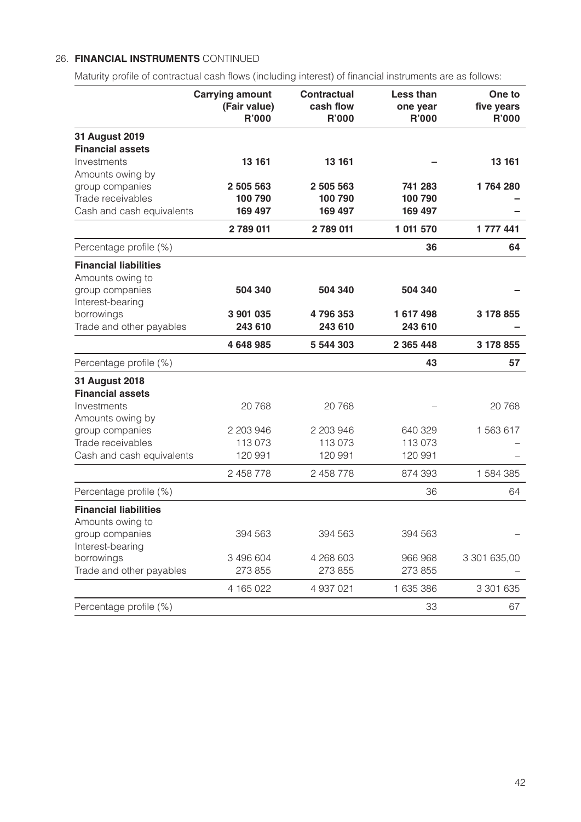Maturity profile of contractual cash flows (including interest) of financial instruments are as follows:

|                              | <b>Carrying amount</b><br>(Fair value)<br>R'000 | <b>Contractual</b><br>cash flow<br>R'000 | <b>Less than</b><br>one year<br><b>R'000</b> | One to<br>five years<br>R'000 |
|------------------------------|-------------------------------------------------|------------------------------------------|----------------------------------------------|-------------------------------|
| 31 August 2019               |                                                 |                                          |                                              |                               |
| <b>Financial assets</b>      |                                                 |                                          |                                              |                               |
| Investments                  | 13 161                                          | 13 161                                   |                                              | 13 161                        |
| Amounts owing by             |                                                 |                                          |                                              |                               |
| group companies              | 2 505 563                                       | 2 505 563                                | 741 283                                      | 1764 280                      |
| Trade receivables            | 100 790                                         | 100 790                                  | 100 790                                      |                               |
| Cash and cash equivalents    | 169 497                                         | 169 497                                  | 169 497                                      |                               |
|                              | 2 789 011                                       | 2 789 011                                | 1 011 570                                    | 1777441                       |
| Percentage profile (%)       |                                                 |                                          | 36                                           | 64                            |
| <b>Financial liabilities</b> |                                                 |                                          |                                              |                               |
| Amounts owing to             |                                                 |                                          |                                              |                               |
| group companies              | 504 340                                         | 504 340                                  | 504 340                                      |                               |
| Interest-bearing             |                                                 |                                          |                                              |                               |
| borrowings                   | 3 901 035                                       | 4796353                                  | 1 617 498                                    | 3 178 855                     |
| Trade and other payables     | 243 610                                         | 243 610                                  | 243 610                                      |                               |
|                              | 4 648 985                                       | 5 544 303                                | 2 365 448                                    | 3 178 855                     |
| Percentage profile (%)       |                                                 |                                          | 43                                           | 57                            |
| 31 August 2018               |                                                 |                                          |                                              |                               |
| <b>Financial assets</b>      |                                                 |                                          |                                              |                               |
| Investments                  | 20 768                                          | 20 768                                   |                                              | 20 768                        |
| Amounts owing by             |                                                 |                                          |                                              |                               |
| group companies              | 2 203 946                                       | 2 203 946                                | 640 329                                      | 1563617                       |
| Trade receivables            | 113 073                                         | 113 073                                  | 113 073                                      |                               |
| Cash and cash equivalents    | 120 991                                         | 120 991                                  | 120 991                                      |                               |
|                              | 2 458 778                                       | 2 458 778                                | 874 393                                      | 1 584 385                     |
| Percentage profile (%)       |                                                 |                                          | 36                                           | 64                            |
| <b>Financial liabilities</b> |                                                 |                                          |                                              |                               |
| Amounts owing to             |                                                 |                                          |                                              |                               |
| group companies              | 394 563                                         | 394 563                                  | 394 563                                      |                               |
| Interest-bearing             |                                                 |                                          |                                              |                               |
| borrowings                   | 3 496 604                                       | 4 268 603                                | 966 968                                      | 3 301 635,00                  |
| Trade and other payables     | 273 855                                         | 273 855                                  | 273 855                                      |                               |
|                              | 4 165 022                                       | 4 937 021                                | 1 635 386                                    | 3 301 635                     |
| Percentage profile (%)       |                                                 |                                          | 33                                           | 67                            |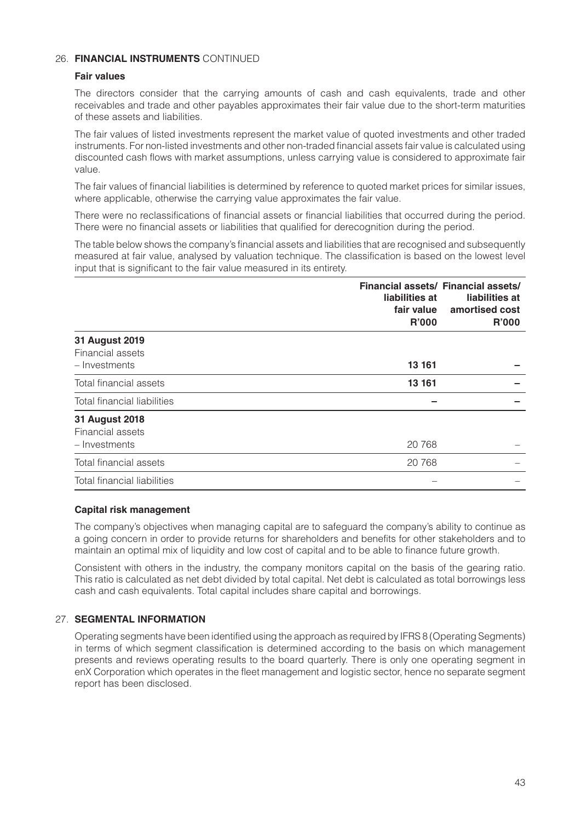#### **Fair values**

The directors consider that the carrying amounts of cash and cash equivalents, trade and other receivables and trade and other payables approximates their fair value due to the short-term maturities of these assets and liabilities.

The fair values of listed investments represent the market value of quoted investments and other traded instruments. For non-listed investments and other non-traded financial assets fair value is calculated using discounted cash flows with market assumptions, unless carrying value is considered to approximate fair value.

The fair values of financial liabilities is determined by reference to quoted market prices for similar issues, where applicable, otherwise the carrying value approximates the fair value.

There were no reclassifications of financial assets or financial liabilities that occurred during the period. There were no financial assets or liabilities that qualified for derecognition during the period.

The table below shows the company's financial assets and liabilities that are recognised and subsequently measured at fair value, analysed by valuation technique. The classification is based on the lowest level input that is significant to the fair value measured in its entirety.

|                                                     | liabilities at<br>fair value<br><b>R'000</b> | Financial assets/ Financial assets/<br>liabilities at<br>amortised cost<br><b>R'000</b> |
|-----------------------------------------------------|----------------------------------------------|-----------------------------------------------------------------------------------------|
| 31 August 2019<br>Financial assets<br>- Investments | 13 161                                       |                                                                                         |
| Total financial assets                              | 13 161                                       |                                                                                         |
| Total financial liabilities                         |                                              |                                                                                         |
| 31 August 2018<br>Financial assets<br>- Investments | 20 768                                       |                                                                                         |
| Total financial assets                              | 20 768                                       |                                                                                         |
| Total financial liabilities                         |                                              |                                                                                         |

#### **Capital risk management**

The company's objectives when managing capital are to safeguard the company's ability to continue as a going concern in order to provide returns for shareholders and benefits for other stakeholders and to maintain an optimal mix of liquidity and low cost of capital and to be able to finance future growth.

Consistent with others in the industry, the company monitors capital on the basis of the gearing ratio. This ratio is calculated as net debt divided by total capital. Net debt is calculated as total borrowings less cash and cash equivalents. Total capital includes share capital and borrowings.

#### 27. **SEGMENTAL INFORMATION**

Operating segments have been identified using the approach as required by IFRS 8 (Operating Segments) in terms of which segment classification is determined according to the basis on which management presents and reviews operating results to the board quarterly. There is only one operating segment in enX Corporation which operates in the fleet management and logistic sector, hence no separate segment report has been disclosed.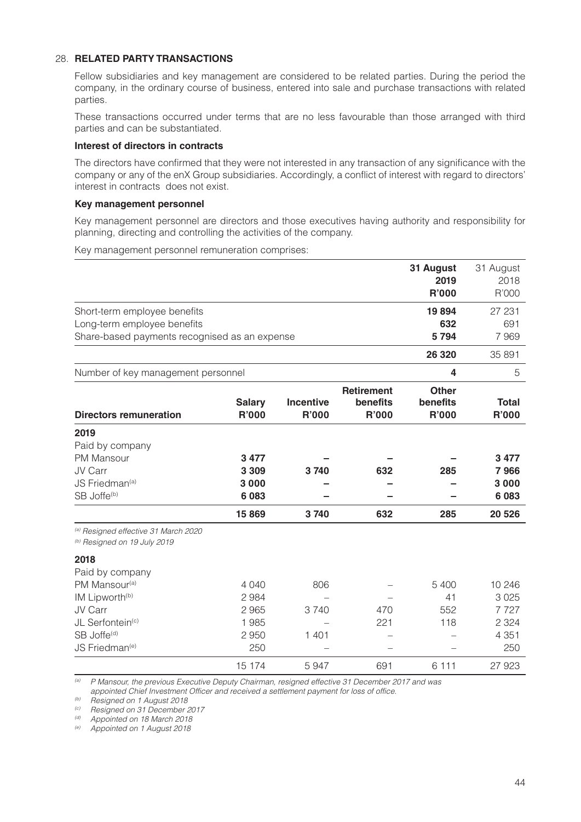#### 28. **RELATED PARTY TRANSACTIONS**

Fellow subsidiaries and key management are considered to be related parties. During the period the company, in the ordinary course of business, entered into sale and purchase transactions with related parties.

These transactions occurred under terms that are no less favourable than those arranged with third parties and can be substantiated.

#### **Interest of directors in contracts**

The directors have confirmed that they were not interested in any transaction of any significance with the company or any of the enX Group subsidiaries. Accordingly, a conflict of interest with regard to directors' interest in contracts does not exist.

#### **Key management personnel**

Key management personnel are directors and those executives having authority and responsibility for planning, directing and controlling the activities of the company.

Key management personnel remuneration comprises:

|                                                                                 |                        |                           |                                        | 31 August<br>2019                        | 31 August<br>2018     |
|---------------------------------------------------------------------------------|------------------------|---------------------------|----------------------------------------|------------------------------------------|-----------------------|
|                                                                                 |                        |                           |                                        | R'000                                    | R'000                 |
| Short-term employee benefits                                                    |                        |                           |                                        | 19894                                    | 27 231                |
| Long-term employee benefits                                                     |                        |                           |                                        | 632                                      | 691                   |
| Share-based payments recognised as an expense                                   |                        |                           |                                        | 5794                                     | 7969                  |
|                                                                                 |                        |                           |                                        | 26 3 20                                  | 35 891                |
| Number of key management personnel                                              |                        |                           |                                        | 4                                        | 5                     |
| <b>Directors remuneration</b>                                                   | <b>Salary</b><br>R'000 | Incentive<br><b>R'000</b> | <b>Retirement</b><br>benefits<br>R'000 | <b>Other</b><br>benefits<br><b>R'000</b> | <b>Total</b><br>R'000 |
| 2019                                                                            |                        |                           |                                        |                                          |                       |
| Paid by company                                                                 |                        |                           |                                        |                                          |                       |
| <b>PM Mansour</b>                                                               | 3 4 7 7                |                           |                                        |                                          | 3 4 7 7               |
| JV Carr                                                                         | 3 3 0 9                | 3740                      | 632                                    | 285                                      | 7966                  |
| JS Friedman <sup>(a)</sup>                                                      | 3 0 0 0                |                           |                                        |                                          | 3 0 0 0               |
| SB Joffe <sup>(b)</sup>                                                         | 6 0 8 3                |                           |                                        |                                          | 6 0 8 3               |
|                                                                                 | 15 869                 | 3740                      | 632                                    | 285                                      | 20 5 26               |
| (a) Resigned effective 31 March 2020<br><sup>(b)</sup> Resigned on 19 July 2019 |                        |                           |                                        |                                          |                       |
| 2018                                                                            |                        |                           |                                        |                                          |                       |
| Paid by company                                                                 |                        |                           |                                        |                                          |                       |
| PM Mansour <sup>(a)</sup>                                                       | 4 0 4 0                | 806                       |                                        | 5 400                                    | 10 246                |
| IM Lipworth <sup>(b)</sup>                                                      | 2984                   |                           |                                        | 41                                       | 3 0 2 5               |
| JV Carr                                                                         | 2 9 6 5                | 3740                      | 470                                    | 552                                      | 7727                  |
| JL Serfontein <sup>(c)</sup>                                                    | 1985                   |                           | 221                                    | 118                                      | 2 3 2 4               |
| SB Joffe <sup>(d)</sup>                                                         | 2950                   | 1 4 0 1                   |                                        |                                          | 4 3 5 1               |
| JS Friedman <sup>(e)</sup>                                                      | 250                    |                           |                                        |                                          | 250                   |
|                                                                                 | 15 174                 | 5947                      | 691                                    | 6 1 1 1                                  | 27 923                |

*(a) P Mansour, the previous Executive Deputy Chairman, resigned effective 31 December 2017 and was* 

*appointed Chief Investment Officer and received a settlement payment for loss of office. (b) Resigned on 1 August 2018*

*(c) Resigned on 31 December 2017*

*(d) Appointed on 18 March 2018*

*(e) Appointed on 1 August 2018*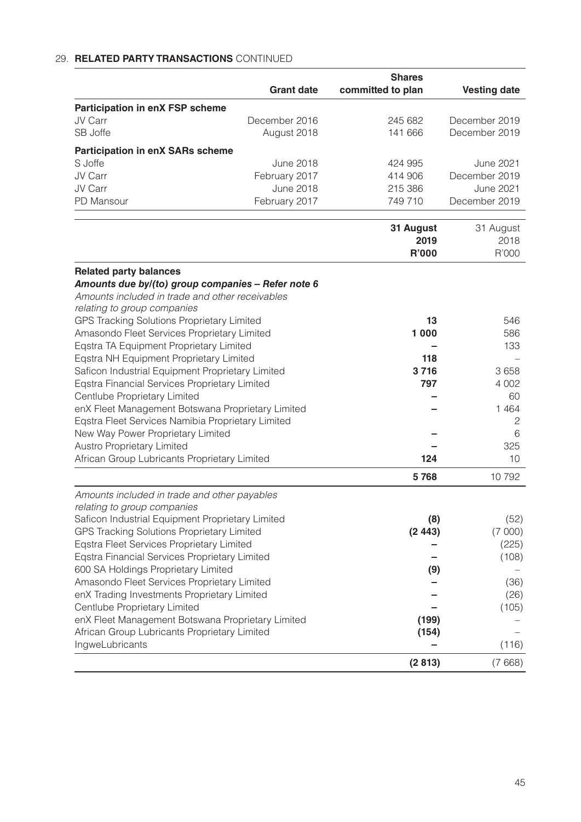#### 29. **RELATED PARTY TRANSACTIONS** CONTINUED

| committed to plan<br><b>Vesting date</b><br><b>Grant date</b><br>Participation in enX FSP scheme<br>JV Carr<br>December 2016<br>245 682<br>December 2019<br>SB Joffe<br>141 666<br>December 2019<br>August 2018<br><b>Participation in enX SARs scheme</b><br>S Joffe<br><b>June 2018</b><br>424 995<br><b>June 2021</b><br>JV Carr<br>December 2019<br>February 2017<br>414 906<br>JV Carr<br><b>June 2018</b><br>215 386<br><b>June 2021</b><br>PD Mansour<br>December 2019<br>February 2017<br>749 710<br>31 August<br>31 August<br>2019<br>2018<br><b>R'000</b><br>R'000<br><b>Related party balances</b><br>Amounts due by/(to) group companies - Refer note 6<br>Amounts included in trade and other receivables<br>relating to group companies<br>GPS Tracking Solutions Proprietary Limited<br>13<br>546<br>1 000<br>Amasondo Fleet Services Proprietary Limited<br>586<br>Eqstra TA Equipment Proprietary Limited<br>133<br>Eqstra NH Equipment Proprietary Limited<br>118<br>Saficon Industrial Equipment Proprietary Limited<br>3716<br>3658<br>Eqstra Financial Services Proprietary Limited<br>797<br>4 0 0 2<br>Centlube Proprietary Limited<br>60<br>1 4 6 4<br>enX Fleet Management Botswana Proprietary Limited<br>Eqstra Fleet Services Namibia Proprietary Limited<br>$\mathbf{2}$<br>New Way Power Proprietary Limited<br>6<br>Austro Proprietary Limited<br>325<br>African Group Lubricants Proprietary Limited<br>124<br>10<br>5768<br>10792<br>Amounts included in trade and other payables<br>relating to group companies<br>Saficon Industrial Equipment Proprietary Limited<br>(8)<br>(52)<br><b>GPS Tracking Solutions Proprietary Limited</b><br>(2443)<br>(7000)<br>Eqstra Fleet Services Proprietary Limited<br>(225)<br>Eqstra Financial Services Proprietary Limited<br>(108)<br>600 SA Holdings Proprietary Limited<br>(9)<br>Amasondo Fleet Services Proprietary Limited<br>(36)<br>enX Trading Investments Proprietary Limited<br>(26)<br>Centlube Proprietary Limited<br>(105)<br>enX Fleet Management Botswana Proprietary Limited<br>(199)<br>African Group Lubricants Proprietary Limited<br>(154)<br>IngweLubricants<br>(116)<br>(2813)<br>(7668) |  | <b>Shares</b> |  |
|-------------------------------------------------------------------------------------------------------------------------------------------------------------------------------------------------------------------------------------------------------------------------------------------------------------------------------------------------------------------------------------------------------------------------------------------------------------------------------------------------------------------------------------------------------------------------------------------------------------------------------------------------------------------------------------------------------------------------------------------------------------------------------------------------------------------------------------------------------------------------------------------------------------------------------------------------------------------------------------------------------------------------------------------------------------------------------------------------------------------------------------------------------------------------------------------------------------------------------------------------------------------------------------------------------------------------------------------------------------------------------------------------------------------------------------------------------------------------------------------------------------------------------------------------------------------------------------------------------------------------------------------------------------------------------------------------------------------------------------------------------------------------------------------------------------------------------------------------------------------------------------------------------------------------------------------------------------------------------------------------------------------------------------------------------------------------------------------------------------------------------------------------------------------------------------------|--|---------------|--|
|                                                                                                                                                                                                                                                                                                                                                                                                                                                                                                                                                                                                                                                                                                                                                                                                                                                                                                                                                                                                                                                                                                                                                                                                                                                                                                                                                                                                                                                                                                                                                                                                                                                                                                                                                                                                                                                                                                                                                                                                                                                                                                                                                                                           |  |               |  |
|                                                                                                                                                                                                                                                                                                                                                                                                                                                                                                                                                                                                                                                                                                                                                                                                                                                                                                                                                                                                                                                                                                                                                                                                                                                                                                                                                                                                                                                                                                                                                                                                                                                                                                                                                                                                                                                                                                                                                                                                                                                                                                                                                                                           |  |               |  |
|                                                                                                                                                                                                                                                                                                                                                                                                                                                                                                                                                                                                                                                                                                                                                                                                                                                                                                                                                                                                                                                                                                                                                                                                                                                                                                                                                                                                                                                                                                                                                                                                                                                                                                                                                                                                                                                                                                                                                                                                                                                                                                                                                                                           |  |               |  |
|                                                                                                                                                                                                                                                                                                                                                                                                                                                                                                                                                                                                                                                                                                                                                                                                                                                                                                                                                                                                                                                                                                                                                                                                                                                                                                                                                                                                                                                                                                                                                                                                                                                                                                                                                                                                                                                                                                                                                                                                                                                                                                                                                                                           |  |               |  |
|                                                                                                                                                                                                                                                                                                                                                                                                                                                                                                                                                                                                                                                                                                                                                                                                                                                                                                                                                                                                                                                                                                                                                                                                                                                                                                                                                                                                                                                                                                                                                                                                                                                                                                                                                                                                                                                                                                                                                                                                                                                                                                                                                                                           |  |               |  |
|                                                                                                                                                                                                                                                                                                                                                                                                                                                                                                                                                                                                                                                                                                                                                                                                                                                                                                                                                                                                                                                                                                                                                                                                                                                                                                                                                                                                                                                                                                                                                                                                                                                                                                                                                                                                                                                                                                                                                                                                                                                                                                                                                                                           |  |               |  |
|                                                                                                                                                                                                                                                                                                                                                                                                                                                                                                                                                                                                                                                                                                                                                                                                                                                                                                                                                                                                                                                                                                                                                                                                                                                                                                                                                                                                                                                                                                                                                                                                                                                                                                                                                                                                                                                                                                                                                                                                                                                                                                                                                                                           |  |               |  |
|                                                                                                                                                                                                                                                                                                                                                                                                                                                                                                                                                                                                                                                                                                                                                                                                                                                                                                                                                                                                                                                                                                                                                                                                                                                                                                                                                                                                                                                                                                                                                                                                                                                                                                                                                                                                                                                                                                                                                                                                                                                                                                                                                                                           |  |               |  |
|                                                                                                                                                                                                                                                                                                                                                                                                                                                                                                                                                                                                                                                                                                                                                                                                                                                                                                                                                                                                                                                                                                                                                                                                                                                                                                                                                                                                                                                                                                                                                                                                                                                                                                                                                                                                                                                                                                                                                                                                                                                                                                                                                                                           |  |               |  |
|                                                                                                                                                                                                                                                                                                                                                                                                                                                                                                                                                                                                                                                                                                                                                                                                                                                                                                                                                                                                                                                                                                                                                                                                                                                                                                                                                                                                                                                                                                                                                                                                                                                                                                                                                                                                                                                                                                                                                                                                                                                                                                                                                                                           |  |               |  |
|                                                                                                                                                                                                                                                                                                                                                                                                                                                                                                                                                                                                                                                                                                                                                                                                                                                                                                                                                                                                                                                                                                                                                                                                                                                                                                                                                                                                                                                                                                                                                                                                                                                                                                                                                                                                                                                                                                                                                                                                                                                                                                                                                                                           |  |               |  |
|                                                                                                                                                                                                                                                                                                                                                                                                                                                                                                                                                                                                                                                                                                                                                                                                                                                                                                                                                                                                                                                                                                                                                                                                                                                                                                                                                                                                                                                                                                                                                                                                                                                                                                                                                                                                                                                                                                                                                                                                                                                                                                                                                                                           |  |               |  |
|                                                                                                                                                                                                                                                                                                                                                                                                                                                                                                                                                                                                                                                                                                                                                                                                                                                                                                                                                                                                                                                                                                                                                                                                                                                                                                                                                                                                                                                                                                                                                                                                                                                                                                                                                                                                                                                                                                                                                                                                                                                                                                                                                                                           |  |               |  |
|                                                                                                                                                                                                                                                                                                                                                                                                                                                                                                                                                                                                                                                                                                                                                                                                                                                                                                                                                                                                                                                                                                                                                                                                                                                                                                                                                                                                                                                                                                                                                                                                                                                                                                                                                                                                                                                                                                                                                                                                                                                                                                                                                                                           |  |               |  |
|                                                                                                                                                                                                                                                                                                                                                                                                                                                                                                                                                                                                                                                                                                                                                                                                                                                                                                                                                                                                                                                                                                                                                                                                                                                                                                                                                                                                                                                                                                                                                                                                                                                                                                                                                                                                                                                                                                                                                                                                                                                                                                                                                                                           |  |               |  |
|                                                                                                                                                                                                                                                                                                                                                                                                                                                                                                                                                                                                                                                                                                                                                                                                                                                                                                                                                                                                                                                                                                                                                                                                                                                                                                                                                                                                                                                                                                                                                                                                                                                                                                                                                                                                                                                                                                                                                                                                                                                                                                                                                                                           |  |               |  |
|                                                                                                                                                                                                                                                                                                                                                                                                                                                                                                                                                                                                                                                                                                                                                                                                                                                                                                                                                                                                                                                                                                                                                                                                                                                                                                                                                                                                                                                                                                                                                                                                                                                                                                                                                                                                                                                                                                                                                                                                                                                                                                                                                                                           |  |               |  |
|                                                                                                                                                                                                                                                                                                                                                                                                                                                                                                                                                                                                                                                                                                                                                                                                                                                                                                                                                                                                                                                                                                                                                                                                                                                                                                                                                                                                                                                                                                                                                                                                                                                                                                                                                                                                                                                                                                                                                                                                                                                                                                                                                                                           |  |               |  |
|                                                                                                                                                                                                                                                                                                                                                                                                                                                                                                                                                                                                                                                                                                                                                                                                                                                                                                                                                                                                                                                                                                                                                                                                                                                                                                                                                                                                                                                                                                                                                                                                                                                                                                                                                                                                                                                                                                                                                                                                                                                                                                                                                                                           |  |               |  |
|                                                                                                                                                                                                                                                                                                                                                                                                                                                                                                                                                                                                                                                                                                                                                                                                                                                                                                                                                                                                                                                                                                                                                                                                                                                                                                                                                                                                                                                                                                                                                                                                                                                                                                                                                                                                                                                                                                                                                                                                                                                                                                                                                                                           |  |               |  |
|                                                                                                                                                                                                                                                                                                                                                                                                                                                                                                                                                                                                                                                                                                                                                                                                                                                                                                                                                                                                                                                                                                                                                                                                                                                                                                                                                                                                                                                                                                                                                                                                                                                                                                                                                                                                                                                                                                                                                                                                                                                                                                                                                                                           |  |               |  |
|                                                                                                                                                                                                                                                                                                                                                                                                                                                                                                                                                                                                                                                                                                                                                                                                                                                                                                                                                                                                                                                                                                                                                                                                                                                                                                                                                                                                                                                                                                                                                                                                                                                                                                                                                                                                                                                                                                                                                                                                                                                                                                                                                                                           |  |               |  |
|                                                                                                                                                                                                                                                                                                                                                                                                                                                                                                                                                                                                                                                                                                                                                                                                                                                                                                                                                                                                                                                                                                                                                                                                                                                                                                                                                                                                                                                                                                                                                                                                                                                                                                                                                                                                                                                                                                                                                                                                                                                                                                                                                                                           |  |               |  |
|                                                                                                                                                                                                                                                                                                                                                                                                                                                                                                                                                                                                                                                                                                                                                                                                                                                                                                                                                                                                                                                                                                                                                                                                                                                                                                                                                                                                                                                                                                                                                                                                                                                                                                                                                                                                                                                                                                                                                                                                                                                                                                                                                                                           |  |               |  |
|                                                                                                                                                                                                                                                                                                                                                                                                                                                                                                                                                                                                                                                                                                                                                                                                                                                                                                                                                                                                                                                                                                                                                                                                                                                                                                                                                                                                                                                                                                                                                                                                                                                                                                                                                                                                                                                                                                                                                                                                                                                                                                                                                                                           |  |               |  |
|                                                                                                                                                                                                                                                                                                                                                                                                                                                                                                                                                                                                                                                                                                                                                                                                                                                                                                                                                                                                                                                                                                                                                                                                                                                                                                                                                                                                                                                                                                                                                                                                                                                                                                                                                                                                                                                                                                                                                                                                                                                                                                                                                                                           |  |               |  |
|                                                                                                                                                                                                                                                                                                                                                                                                                                                                                                                                                                                                                                                                                                                                                                                                                                                                                                                                                                                                                                                                                                                                                                                                                                                                                                                                                                                                                                                                                                                                                                                                                                                                                                                                                                                                                                                                                                                                                                                                                                                                                                                                                                                           |  |               |  |
|                                                                                                                                                                                                                                                                                                                                                                                                                                                                                                                                                                                                                                                                                                                                                                                                                                                                                                                                                                                                                                                                                                                                                                                                                                                                                                                                                                                                                                                                                                                                                                                                                                                                                                                                                                                                                                                                                                                                                                                                                                                                                                                                                                                           |  |               |  |
|                                                                                                                                                                                                                                                                                                                                                                                                                                                                                                                                                                                                                                                                                                                                                                                                                                                                                                                                                                                                                                                                                                                                                                                                                                                                                                                                                                                                                                                                                                                                                                                                                                                                                                                                                                                                                                                                                                                                                                                                                                                                                                                                                                                           |  |               |  |
|                                                                                                                                                                                                                                                                                                                                                                                                                                                                                                                                                                                                                                                                                                                                                                                                                                                                                                                                                                                                                                                                                                                                                                                                                                                                                                                                                                                                                                                                                                                                                                                                                                                                                                                                                                                                                                                                                                                                                                                                                                                                                                                                                                                           |  |               |  |
|                                                                                                                                                                                                                                                                                                                                                                                                                                                                                                                                                                                                                                                                                                                                                                                                                                                                                                                                                                                                                                                                                                                                                                                                                                                                                                                                                                                                                                                                                                                                                                                                                                                                                                                                                                                                                                                                                                                                                                                                                                                                                                                                                                                           |  |               |  |
|                                                                                                                                                                                                                                                                                                                                                                                                                                                                                                                                                                                                                                                                                                                                                                                                                                                                                                                                                                                                                                                                                                                                                                                                                                                                                                                                                                                                                                                                                                                                                                                                                                                                                                                                                                                                                                                                                                                                                                                                                                                                                                                                                                                           |  |               |  |
|                                                                                                                                                                                                                                                                                                                                                                                                                                                                                                                                                                                                                                                                                                                                                                                                                                                                                                                                                                                                                                                                                                                                                                                                                                                                                                                                                                                                                                                                                                                                                                                                                                                                                                                                                                                                                                                                                                                                                                                                                                                                                                                                                                                           |  |               |  |
|                                                                                                                                                                                                                                                                                                                                                                                                                                                                                                                                                                                                                                                                                                                                                                                                                                                                                                                                                                                                                                                                                                                                                                                                                                                                                                                                                                                                                                                                                                                                                                                                                                                                                                                                                                                                                                                                                                                                                                                                                                                                                                                                                                                           |  |               |  |
|                                                                                                                                                                                                                                                                                                                                                                                                                                                                                                                                                                                                                                                                                                                                                                                                                                                                                                                                                                                                                                                                                                                                                                                                                                                                                                                                                                                                                                                                                                                                                                                                                                                                                                                                                                                                                                                                                                                                                                                                                                                                                                                                                                                           |  |               |  |
|                                                                                                                                                                                                                                                                                                                                                                                                                                                                                                                                                                                                                                                                                                                                                                                                                                                                                                                                                                                                                                                                                                                                                                                                                                                                                                                                                                                                                                                                                                                                                                                                                                                                                                                                                                                                                                                                                                                                                                                                                                                                                                                                                                                           |  |               |  |
|                                                                                                                                                                                                                                                                                                                                                                                                                                                                                                                                                                                                                                                                                                                                                                                                                                                                                                                                                                                                                                                                                                                                                                                                                                                                                                                                                                                                                                                                                                                                                                                                                                                                                                                                                                                                                                                                                                                                                                                                                                                                                                                                                                                           |  |               |  |
|                                                                                                                                                                                                                                                                                                                                                                                                                                                                                                                                                                                                                                                                                                                                                                                                                                                                                                                                                                                                                                                                                                                                                                                                                                                                                                                                                                                                                                                                                                                                                                                                                                                                                                                                                                                                                                                                                                                                                                                                                                                                                                                                                                                           |  |               |  |
|                                                                                                                                                                                                                                                                                                                                                                                                                                                                                                                                                                                                                                                                                                                                                                                                                                                                                                                                                                                                                                                                                                                                                                                                                                                                                                                                                                                                                                                                                                                                                                                                                                                                                                                                                                                                                                                                                                                                                                                                                                                                                                                                                                                           |  |               |  |
|                                                                                                                                                                                                                                                                                                                                                                                                                                                                                                                                                                                                                                                                                                                                                                                                                                                                                                                                                                                                                                                                                                                                                                                                                                                                                                                                                                                                                                                                                                                                                                                                                                                                                                                                                                                                                                                                                                                                                                                                                                                                                                                                                                                           |  |               |  |
|                                                                                                                                                                                                                                                                                                                                                                                                                                                                                                                                                                                                                                                                                                                                                                                                                                                                                                                                                                                                                                                                                                                                                                                                                                                                                                                                                                                                                                                                                                                                                                                                                                                                                                                                                                                                                                                                                                                                                                                                                                                                                                                                                                                           |  |               |  |
|                                                                                                                                                                                                                                                                                                                                                                                                                                                                                                                                                                                                                                                                                                                                                                                                                                                                                                                                                                                                                                                                                                                                                                                                                                                                                                                                                                                                                                                                                                                                                                                                                                                                                                                                                                                                                                                                                                                                                                                                                                                                                                                                                                                           |  |               |  |